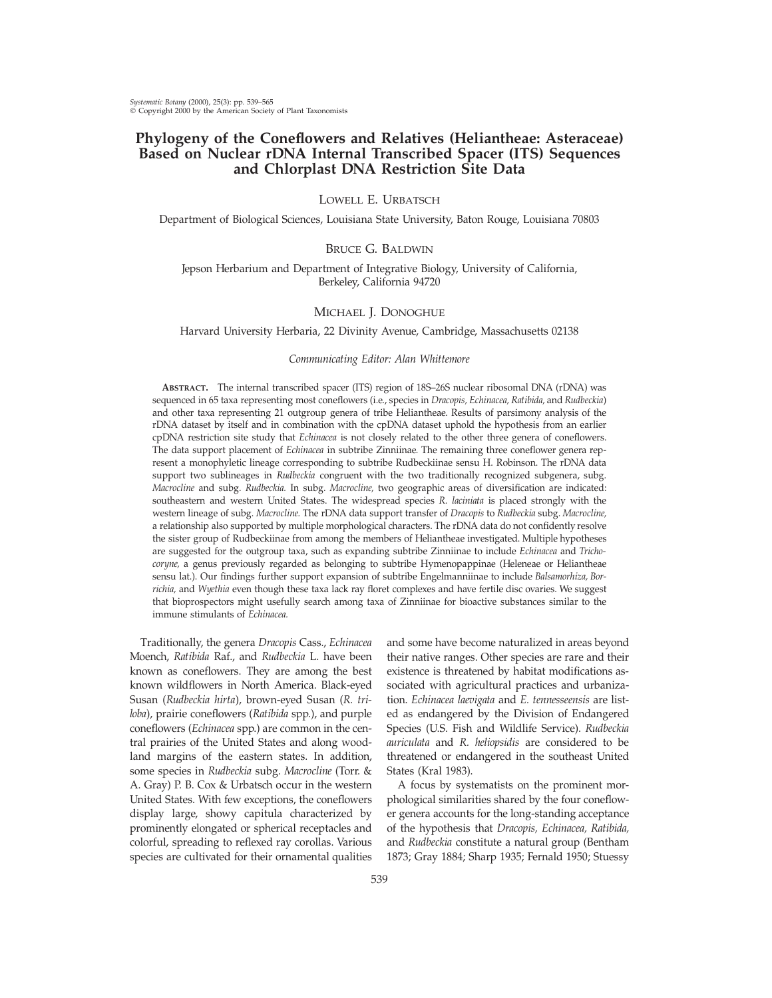# **Phylogeny of the Coneflowers and Relatives (Heliantheae: Asteraceae) Based on Nuclear rDNA Internal Transcribed Spacer (ITS) Sequences and Chlorplast DNA Restriction Site Data**

# LOWELL E. URBATSCH

Department of Biological Sciences, Louisiana State University, Baton Rouge, Louisiana 70803

# BRUCE G. BALDWIN

Jepson Herbarium and Department of Integrative Biology, University of California, Berkeley, California 94720

### MICHAEL J. DONOGHUE

Harvard University Herbaria, 22 Divinity Avenue, Cambridge, Massachusetts 02138

### *Communicating Editor: Alan Whittemore*

**ABSTRACT.** The internal transcribed spacer (ITS) region of 18S–26S nuclear ribosomal DNA (rDNA) was sequenced in 65 taxa representing most coneflowers (i.e., species in *Dracopis, Echinacea, Ratibida,* and *Rudbeckia*) and other taxa representing 21 outgroup genera of tribe Heliantheae. Results of parsimony analysis of the rDNA dataset by itself and in combination with the cpDNA dataset uphold the hypothesis from an earlier cpDNA restriction site study that *Echinacea* is not closely related to the other three genera of coneflowers. The data support placement of *Echinacea* in subtribe Zinniinae. The remaining three coneflower genera represent a monophyletic lineage corresponding to subtribe Rudbeckiinae sensu H. Robinson. The rDNA data support two sublineages in *Rudbeckia* congruent with the two traditionally recognized subgenera, subg. *Macrocline* and subg. *Rudbeckia.* In subg. *Macrocline,* two geographic areas of diversification are indicated: southeastern and western United States. The widespread species *R. laciniata* is placed strongly with the western lineage of subg. *Macrocline.* The rDNA data support transfer of *Dracopis* to *Rudbeckia* subg. *Macrocline,* a relationship also supported by multiple morphological characters. The rDNA data do not confidently resolve the sister group of Rudbeckiinae from among the members of Heliantheae investigated. Multiple hypotheses are suggested for the outgroup taxa, such as expanding subtribe Zinniinae to include *Echinacea* and *Trichocoryne,* a genus previously regarded as belonging to subtribe Hymenopappinae (Heleneae or Heliantheae sensu lat.). Our findings further support expansion of subtribe Engelmanniinae to include *Balsamorhiza, Borrichia,* and *Wyethia* even though these taxa lack ray floret complexes and have fertile disc ovaries. We suggest that bioprospectors might usefully search among taxa of Zinniinae for bioactive substances similar to the immune stimulants of *Echinacea.*

Traditionally, the genera *Dracopis* Cass., *Echinacea* Moench, *Ratibida* Raf., and *Rudbeckia* L. have been known as coneflowers. They are among the best known wildflowers in North America. Black-eyed Susan (*Rudbeckia hirta*), brown-eyed Susan (*R. triloba*), prairie coneflowers (*Ratibida* spp.), and purple coneflowers (*Echinacea* spp.) are common in the central prairies of the United States and along woodland margins of the eastern states. In addition, some species in *Rudbeckia* subg. *Macrocline* (Torr. & A. Gray) P. B. Cox & Urbatsch occur in the western United States. With few exceptions, the coneflowers display large, showy capitula characterized by prominently elongated or spherical receptacles and colorful, spreading to reflexed ray corollas. Various species are cultivated for their ornamental qualities

and some have become naturalized in areas beyond their native ranges. Other species are rare and their existence is threatened by habitat modifications associated with agricultural practices and urbanization. *Echinacea laevigata* and *E. tennesseensis* are listed as endangered by the Division of Endangered Species (U.S. Fish and Wildlife Service). *Rudbeckia auriculata* and *R. heliopsidis* are considered to be threatened or endangered in the southeast United States (Kral 1983).

A focus by systematists on the prominent morphological similarities shared by the four coneflower genera accounts for the long-standing acceptance of the hypothesis that *Dracopis, Echinacea, Ratibida,* and *Rudbeckia* constitute a natural group (Bentham 1873; Gray 1884; Sharp 1935; Fernald 1950; Stuessy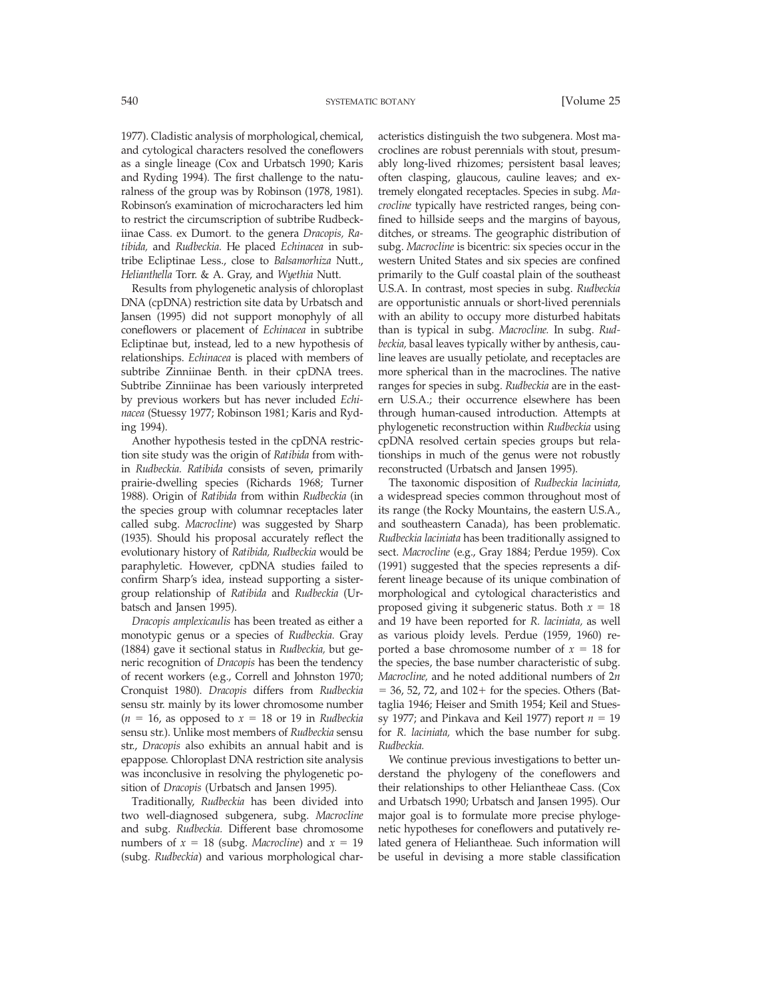1977). Cladistic analysis of morphological, chemical, and cytological characters resolved the coneflowers as a single lineage (Cox and Urbatsch 1990; Karis and Ryding 1994). The first challenge to the naturalness of the group was by Robinson (1978, 1981). Robinson's examination of microcharacters led him to restrict the circumscription of subtribe Rudbeckiinae Cass. ex Dumort. to the genera *Dracopis, Ratibida,* and *Rudbeckia.* He placed *Echinacea* in subtribe Ecliptinae Less., close to *Balsamorhiza* Nutt., *Helianthella* Torr. & A. Gray, and *Wyethia* Nutt.

Results from phylogenetic analysis of chloroplast DNA (cpDNA) restriction site data by Urbatsch and Jansen (1995) did not support monophyly of all coneflowers or placement of *Echinacea* in subtribe Ecliptinae but, instead, led to a new hypothesis of relationships. *Echinacea* is placed with members of subtribe Zinniinae Benth. in their cpDNA trees. Subtribe Zinniinae has been variously interpreted by previous workers but has never included *Echinacea* (Stuessy 1977; Robinson 1981; Karis and Ryding 1994).

Another hypothesis tested in the cpDNA restriction site study was the origin of *Ratibida* from within *Rudbeckia. Ratibida* consists of seven, primarily prairie-dwelling species (Richards 1968; Turner 1988). Origin of *Ratibida* from within *Rudbeckia* (in the species group with columnar receptacles later called subg. *Macrocline*) was suggested by Sharp (1935). Should his proposal accurately reflect the evolutionary history of *Ratibida, Rudbeckia* would be paraphyletic. However, cpDNA studies failed to confirm Sharp's idea, instead supporting a sistergroup relationship of *Ratibida* and *Rudbeckia* (Urbatsch and Jansen 1995).

*Dracopis amplexicaulis* has been treated as either a monotypic genus or a species of *Rudbeckia.* Gray (1884) gave it sectional status in *Rudbeckia,* but generic recognition of *Dracopis* has been the tendency of recent workers (e.g., Correll and Johnston 1970; Cronquist 1980). *Dracopis* differs from *Rudbeckia* sensu str. mainly by its lower chromosome number  $(n = 16$ , as opposed to  $x = 18$  or 19 in *Rudbeckia* sensu str.). Unlike most members of *Rudbeckia* sensu str., *Dracopis* also exhibits an annual habit and is epappose. Chloroplast DNA restriction site analysis was inconclusive in resolving the phylogenetic position of *Dracopis* (Urbatsch and Jansen 1995).

Traditionally, *Rudbeckia* has been divided into two well-diagnosed subgenera, subg. *Macrocline* and subg. *Rudbeckia.* Different base chromosome numbers of  $x = 18$  (subg. *Macrocline*) and  $x = 19$ (subg. *Rudbeckia*) and various morphological characteristics distinguish the two subgenera. Most macroclines are robust perennials with stout, presumably long-lived rhizomes; persistent basal leaves; often clasping, glaucous, cauline leaves; and extremely elongated receptacles. Species in subg. *Macrocline* typically have restricted ranges, being confined to hillside seeps and the margins of bayous, ditches, or streams. The geographic distribution of subg. *Macrocline* is bicentric: six species occur in the western United States and six species are confined primarily to the Gulf coastal plain of the southeast U.S.A. In contrast, most species in subg. *Rudbeckia* are opportunistic annuals or short-lived perennials with an ability to occupy more disturbed habitats than is typical in subg. *Macrocline.* In subg. *Rudbeckia,* basal leaves typically wither by anthesis, cauline leaves are usually petiolate, and receptacles are more spherical than in the macroclines. The native ranges for species in subg. *Rudbeckia* are in the eastern U.S.A.; their occurrence elsewhere has been through human-caused introduction. Attempts at phylogenetic reconstruction within *Rudbeckia* using cpDNA resolved certain species groups but relationships in much of the genus were not robustly reconstructed (Urbatsch and Jansen 1995).

The taxonomic disposition of *Rudbeckia laciniata,* a widespread species common throughout most of its range (the Rocky Mountains, the eastern U.S.A., and southeastern Canada), has been problematic. *Rudbeckia laciniata* has been traditionally assigned to sect. *Macrocline* (e.g., Gray 1884; Perdue 1959). Cox (1991) suggested that the species represents a different lineage because of its unique combination of morphological and cytological characteristics and proposed giving it subgeneric status. Both  $x = 18$ and 19 have been reported for *R. laciniata,* as well as various ploidy levels. Perdue (1959, 1960) reported a base chromosome number of  $x = 18$  for the species, the base number characteristic of subg. *Macrocline,* and he noted additional numbers of 2*n*  $=$  36, 52, 72, and 102+ for the species. Others (Battaglia 1946; Heiser and Smith 1954; Keil and Stuessy 1977; and Pinkava and Keil 1977) report  $n = 19$ for *R. laciniata,* which the base number for subg. *Rudbeckia.*

We continue previous investigations to better understand the phylogeny of the coneflowers and their relationships to other Heliantheae Cass. (Cox and Urbatsch 1990; Urbatsch and Jansen 1995). Our major goal is to formulate more precise phylogenetic hypotheses for coneflowers and putatively related genera of Heliantheae. Such information will be useful in devising a more stable classification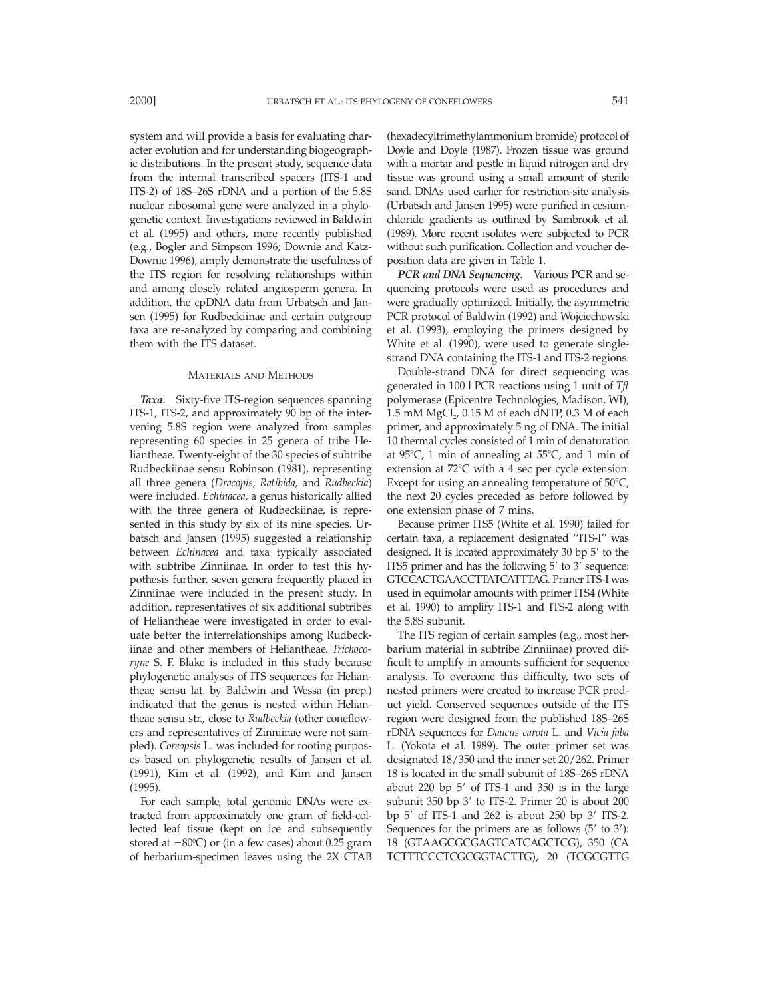system and will provide a basis for evaluating character evolution and for understanding biogeographic distributions. In the present study, sequence data from the internal transcribed spacers (ITS-1 and ITS-2) of 18S–26S rDNA and a portion of the 5.8S nuclear ribosomal gene were analyzed in a phylogenetic context. Investigations reviewed in Baldwin et al. (1995) and others, more recently published (e.g., Bogler and Simpson 1996; Downie and Katz-Downie 1996), amply demonstrate the usefulness of the ITS region for resolving relationships within and among closely related angiosperm genera. In addition, the cpDNA data from Urbatsch and Jansen (1995) for Rudbeckiinae and certain outgroup taxa are re-analyzed by comparing and combining them with the ITS dataset.

### MATERIALS AND METHODS

*Taxa.* Sixty-five ITS-region sequences spanning ITS-1, ITS-2, and approximately 90 bp of the intervening 5.8S region were analyzed from samples representing 60 species in 25 genera of tribe Heliantheae. Twenty-eight of the 30 species of subtribe Rudbeckiinae sensu Robinson (1981), representing all three genera (*Dracopis, Ratibida,* and *Rudbeckia*) were included. *Echinacea,* a genus historically allied with the three genera of Rudbeckiinae, is represented in this study by six of its nine species. Urbatsch and Jansen (1995) suggested a relationship between *Echinacea* and taxa typically associated with subtribe Zinniinae. In order to test this hypothesis further, seven genera frequently placed in Zinniinae were included in the present study. In addition, representatives of six additional subtribes of Heliantheae were investigated in order to evaluate better the interrelationships among Rudbeckiinae and other members of Heliantheae. *Trichocoryne* S. F. Blake is included in this study because phylogenetic analyses of ITS sequences for Heliantheae sensu lat. by Baldwin and Wessa (in prep.) indicated that the genus is nested within Heliantheae sensu str., close to *Rudbeckia* (other coneflowers and representatives of Zinniinae were not sampled). *Coreopsis* L. was included for rooting purposes based on phylogenetic results of Jansen et al. (1991), Kim et al. (1992), and Kim and Jansen (1995).

For each sample, total genomic DNAs were extracted from approximately one gram of field-collected leaf tissue (kept on ice and subsequently stored at -80°C) or (in a few cases) about 0.25 gram of herbarium-specimen leaves using the 2X CTAB

(hexadecyltrimethylammonium bromide) protocol of Doyle and Doyle (1987). Frozen tissue was ground with a mortar and pestle in liquid nitrogen and dry tissue was ground using a small amount of sterile sand. DNAs used earlier for restriction-site analysis (Urbatsch and Jansen 1995) were purified in cesiumchloride gradients as outlined by Sambrook et al. (1989). More recent isolates were subjected to PCR without such purification. Collection and voucher deposition data are given in Table 1.

*PCR and DNA Sequencing.* Various PCR and sequencing protocols were used as procedures and were gradually optimized. Initially, the asymmetric PCR protocol of Baldwin (1992) and Wojciechowski et al. (1993), employing the primers designed by White et al. (1990), were used to generate singlestrand DNA containing the ITS-1 and ITS-2 regions.

Double-strand DNA for direct sequencing was generated in 100 l PCR reactions using 1 unit of *Tfl* polymerase (Epicentre Technologies, Madison, WI), 1.5 mM  $MgCl<sub>2</sub>$ , 0.15 M of each dNTP, 0.3 M of each primer, and approximately 5 ng of DNA. The initial 10 thermal cycles consisted of 1 min of denaturation at  $95^{\circ}$ C, 1 min of annealing at  $55^{\circ}$ C, and 1 min of extension at  $72^{\circ}$ C with a 4 sec per cycle extension. Except for using an annealing temperature of  $50^{\circ}$ C, the next 20 cycles preceded as before followed by one extension phase of 7 mins.

Because primer ITS5 (White et al. 1990) failed for certain taxa, a replacement designated ''ITS-I'' was designed. It is located approximately  $30$  bp  $5'$  to the ITS5 primer and has the following  $5'$  to  $3'$  sequence: GTCCACTGAACCTTATCATTTAG. Primer ITS-I was used in equimolar amounts with primer ITS4 (White et al. 1990) to amplify ITS-1 and ITS-2 along with the 5.8S subunit.

The ITS region of certain samples (e.g., most herbarium material in subtribe Zinniinae) proved difficult to amplify in amounts sufficient for sequence analysis. To overcome this difficulty, two sets of nested primers were created to increase PCR product yield. Conserved sequences outside of the ITS region were designed from the published 18S–26S rDNA sequences for *Daucus carota* L. and *Vicia faba* L. (Yokota et al. 1989). The outer primer set was designated 18/350 and the inner set 20/262. Primer 18 is located in the small subunit of 18S–26S rDNA about 220 bp  $5'$  of ITS-1 and 350 is in the large subunit 350 bp  $3'$  to ITS-2. Primer 20 is about 200 bp  $5'$  of ITS-1 and 262 is about 250 bp  $3'$  ITS-2. Sequences for the primers are as follows  $(5'$  to  $3')$ : 18 (GTAAGCGCGAGTCATCAGCTCG), 350 (CA TCTTTCCCTCGCGGTACTTG), 20 (TCGCGTTG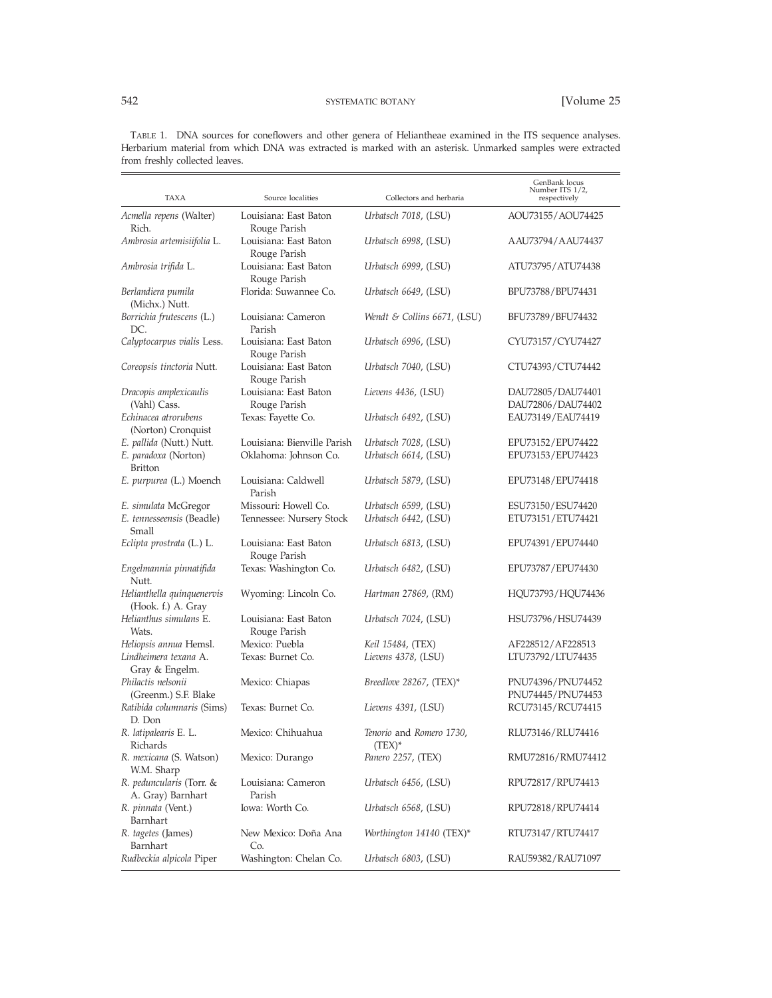TABLE 1. DNA sources for coneflowers and other genera of Heliantheae examined in the ITS sequence analyses. Herbarium material from which DNA was extracted is marked with an asterisk. Unmarked samples were extracted from freshly collected leaves.

| TAXA                                             | Source localities                     | Collectors and herbaria               | GenBank locus<br>Number ITS 1/2,<br>respectively |
|--------------------------------------------------|---------------------------------------|---------------------------------------|--------------------------------------------------|
| Acmella repens (Walter)<br>Rich.                 | Louisiana: East Baton<br>Rouge Parish | Urbatsch 7018, (LSU)                  | AOU73155/AOU74425                                |
| Ambrosia artemisiifolia L.                       | Louisiana: East Baton<br>Rouge Parish | Urbatsch 6998, (LSU)                  | AAU73794/AAU74437                                |
| Ambrosia trifida L.                              | Louisiana: East Baton<br>Rouge Parish | Urbatsch 6999, (LSU)                  | ATU73795/ATU74438                                |
| Berlandiera pumila<br>(Michx.) Nutt.             | Florida: Suwannee Co.                 | Urbatsch 6649, (LSU)                  | BPU73788/BPU74431                                |
| Borrichia frutescens (L.)<br>DC.                 | Louisiana: Cameron<br>Parish          | Wendt & Collins $6671$ , (LSU)        | BFU73789/BFU74432                                |
| Calyptocarpus vialis Less.                       | Louisiana: East Baton<br>Rouge Parish | Urbatsch 6996, (LSU)                  | CYU73157/CYU74427                                |
| Coreopsis tinctoria Nutt.                        | Louisiana: East Baton<br>Rouge Parish | Urbatsch 7040, (LSU)                  | CTU74393/CTU74442                                |
| Dracopis amplexicaulis<br>(Vahl) Cass.           | Louisiana: East Baton<br>Rouge Parish | Lievens 4436, (LSU)                   | DAU72805/DAU74401<br>DAU72806/DAU74402           |
| Echinacea atrorubens<br>(Norton) Cronquist       | Texas: Fayette Co.                    | Urbatsch 6492, (LSU)                  | EAU73149/EAU74419                                |
| E. pallida (Nutt.) Nutt.                         | Louisiana: Bienville Parish           | Urbatsch 7028, (LSU)                  | EPU73152/EPU74422                                |
| E. paradoxa (Norton)<br><b>Britton</b>           | Oklahoma: Johnson Co.                 | Urbatsch 6614, (LSU)                  | EPU73153/EPU74423                                |
| E. <i>purpurea</i> (L.) Moench                   | Louisiana: Caldwell<br>Parish         | Urbatsch 5879, (LSU)                  | EPU73148/EPU74418                                |
| E. simulata McGregor                             | Missouri: Howell Co.                  | Urbatsch 6599, (LSU)                  | ESU73150/ESU74420                                |
| E. tennesseensis (Beadle)<br>Small               | Tennessee: Nursery Stock              | Urbatsch 6442, (LSU)                  | ETU73151/ETU74421                                |
| Eclipta prostrata (L.) L.                        | Louisiana: East Baton<br>Rouge Parish | Urbatsch 6813, (LSU)                  | EPU74391/EPU74440                                |
| Engelmannia pinnatifida<br>Nutt.                 | Texas: Washington Co.                 | Urbatsch 6482, (LSU)                  | EPU73787/EPU74430                                |
| Helianthella quinquenervis<br>(Hook. f.) A. Gray | Wyoming: Lincoln Co.                  | <i>Hartman 27869, (RM)</i>            | HQU73793/HQU74436                                |
| Helianthus simulans E.<br>Wats.                  | Louisiana: East Baton<br>Rouge Parish | Urbatsch 7024, (LSU)                  | HSU73796/HSU74439                                |
| Heliopsis annua Hemsl.                           | Mexico: Puebla                        | Keil 15484, (TEX)                     | AF228512/AF228513                                |
| Lindheimera texana A.<br>Gray & Engelm.          | Texas: Burnet Co.                     | Lievens 4378, (LSU)                   | LTU73792/LTU74435                                |
| Philactis nelsonii<br>(Greenm.) S.F. Blake       | Mexico: Chiapas                       | <i>Breedlove 28267,</i> $(TEX)^*$     | PNU74396/PNU74452<br>PNU74445/PNU74453           |
| Ratibida columnaris (Sims)<br>D. Don             | Texas: Burnet Co.                     | Lievens 4391, (LSU)                   | RCU73145/RCU74415                                |
| R. latipalearis E. L.<br>Richards                | Mexico: Chihuahua                     | Tenorio and Romero 1730.<br>$(TEX)^*$ | RLU73146/RLU74416                                |
| R. mexicana (S. Watson)<br>W.M. Sharp            | Mexico: Durango                       | Panero 2257, (TEX)                    | RMU72816/RMU74412                                |
| R. peduncularis (Torr. &<br>A. Gray) Barnhart    | Louisiana: Cameron<br>Parish          | Urbatsch 6456, (LSU)                  | RPU72817/RPU74413                                |
| R. <i>pinnata</i> (Vent.)<br>Barnhart            | Iowa: Worth Co.                       | Urbatsch 6568, (LSU)                  | RPU72818/RPU74414                                |
| R. tagetes (James)<br>Barnhart                   | New Mexico: Doña Ana<br>Co.           | Worthington 14140 (TEX)*              | RTU73147/RTU74417                                |
| Rudbeckia alpicola Piper                         | Washington: Chelan Co.                | Urbatsch 6803, (LSU)                  | RAU59382/RAU71097                                |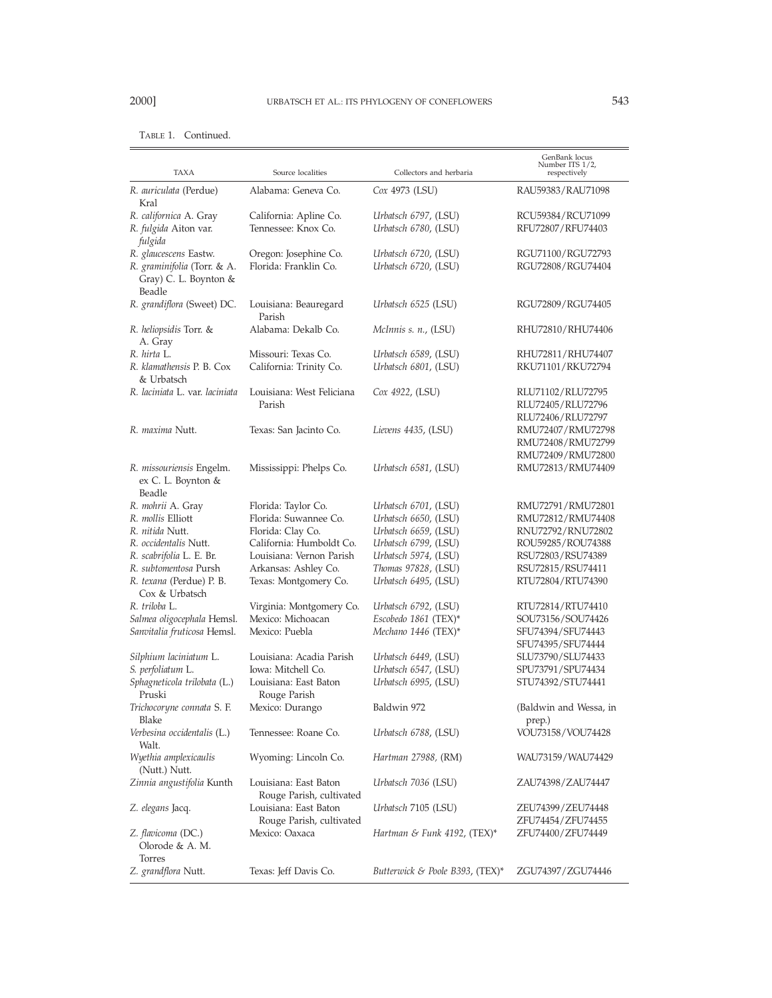| <b>TAXA</b>                                                     | Source localities                                 | Collectors and herbaria                      | GenBank locus<br>Number ITS 1/2,<br>respectively            |
|-----------------------------------------------------------------|---------------------------------------------------|----------------------------------------------|-------------------------------------------------------------|
| R. auriculata (Perdue)<br>Kral                                  | Alabama: Geneva Co.                               | Cox 4973 (LSU)                               | RAU59383/RAU71098                                           |
| R. californica A. Gray                                          | California: Apline Co.                            | Urbatsch 6797, (LSU)                         | RCU59384/RCU71099                                           |
| R. fulgida Aiton var.<br>fulgida                                | Tennessee: Knox Co.                               | Urbatsch 6780, (LSU)                         | RFU72807/RFU74403                                           |
| R. glaucescens Eastw.                                           | Oregon: Josephine Co.                             | Urbatsch 6720, (LSU)                         | RGU71100/RGU72793                                           |
| R. graminifolia (Torr. & A.<br>Gray) C. L. Boynton &<br>Beadle  | Florida: Franklin Co.                             | Urbatsch 6720, (LSU)                         | RGU72808/RGU74404                                           |
| R. grandiflora (Sweet) DC.                                      | Louisiana: Beauregard<br>Parish                   | Urbatsch 6525 (LSU)                          | RGU72809/RGU74405                                           |
| R. heliopsidis Torr. &<br>A. Gray                               | Alabama: Dekalb Co.                               | McInnis s. n., (LSU)                         | RHU72810/RHU74406                                           |
| R. hirta L.                                                     | Missouri: Texas Co.                               | Urbatsch 6589, (LSU)                         | RHU72811/RHU74407                                           |
| R. klamathensis P. B. Cox<br>& Urbatsch                         | California: Trinity Co.                           | Urbatsch 6801, (LSU)                         | RKU71101/RKU72794                                           |
| R. laciniata L. var. laciniata                                  | Louisiana: West Feliciana<br>Parish               | Cox 4922, (LSU)                              | RLU71102/RLU72795<br>RLU72405/RLU72796<br>RLU72406/RLU72797 |
| R. maxima Nutt.                                                 | Texas: San Jacinto Co.                            | Lievens 4435, (LSU)                          | RMU72407/RMU72798<br>RMU72408/RMU72799<br>RMU72409/RMU72800 |
| R. <i>missouriensis</i> Engelm.<br>ex C. L. Boynton &<br>Beadle | Mississippi: Phelps Co.                           | Urbatsch 6581, (LSU)                         | RMU72813/RMU74409                                           |
| R. mohrii A. Gray                                               | Florida: Taylor Co.                               | Urbatsch 6701, (LSU)                         | RMU72791/RMU72801                                           |
| R. mollis Elliott                                               | Florida: Suwannee Co.                             | Urbatsch 6650, (LSU)                         | RMU72812/RMU74408                                           |
| R. nitida Nutt.                                                 | Florida: Clay Co.                                 | Urbatsch 6659, (LSU)                         | RNU72792/RNU72802                                           |
| R. occidentalis Nutt.                                           | California: Humboldt Co.                          | Urbatsch 6799, (LSU)                         | ROU59285/ROU74388                                           |
| R. scabrifolia L. E. Br.                                        | Louisiana: Vernon Parish                          | Urbatsch 5974, (LSU)                         | RSU72803/RSU74389                                           |
| R. subtomentosa Pursh                                           | Arkansas: Ashley Co.                              | Thomas 97828, (LSU)                          | RSU72815/RSU74411                                           |
| R. texana (Perdue) P. B.<br>Cox & Urbatsch                      | Texas: Montgomery Co.                             | Urbatsch 6495, (LSU)                         | RTU72804/RTU74390                                           |
| R. triloba L.                                                   | Virginia: Montgomery Co.                          | Urbatsch 6792, (LSU)                         | RTU72814/RTU74410                                           |
| Salmea oligocephala Hemsl.                                      | Mexico: Michoacan                                 | Escobedo 1861 (TEX)*                         | SOU73156/SOU74426                                           |
| Sanvitalia fruticosa Hemsl.                                     | Mexico: Puebla                                    | Mechano 1446 (TEX)*                          | SFU74394/SFU74443                                           |
|                                                                 |                                                   |                                              | SFU74395/SFU74444                                           |
| Silphium laciniatum L.                                          | Louisiana: Acadia Parish<br>Iowa: Mitchell Co.    | Urbatsch 6449, (LSU)                         | SLU73790/SLU74433<br>SPU73791/SPU74434                      |
| S. perfoliatum L.<br>Sphagneticola trilobata (L.)               | Louisiana: East Baton                             | Urbatsch 6547, (LSU)<br>Urbatsch 6995, (LSU) | STU74392/STU74441                                           |
| Pruski                                                          | Rouge Parish                                      |                                              |                                                             |
| Trichocoryne connata S. F.<br>Blake                             | Mexico: Durango                                   | Baldwin 972                                  | (Baldwin and Wessa, in<br>prep.)                            |
| Verbesina occidentalis (L.)<br>Walt.                            | Tennessee: Roane Co.                              | Urbatsch 6788, (LSU)                         | VOU73158/VOU74428                                           |
| Wyethia amplexicaulis<br>(Nutt.) Nutt.                          | Wyoming: Lincoln Co.                              | <i>Hartman 27988</i> , (RM)                  | WAU73159/WAU74429                                           |
| Zinnia angustifolia Kunth                                       | Louisiana: East Baton<br>Rouge Parish, cultivated | Urbatsch 7036 (LSU)                          | ZAU74398/ZAU74447                                           |
| Z. elegans Jacq.                                                | Louisiana: East Baton<br>Rouge Parish, cultivated | Urbatsch 7105 (LSU)                          | ZEU74399/ZEU74448<br>ZFU74454/ZFU74455                      |
| Z. flavicoma (DC.)<br>Olorode & A. M.<br>Torres                 | Mexico: Oaxaca                                    | Hartman & Funk 4192, (TEX)*                  | ZFU74400/ZFU74449                                           |
| Z. grandflora Nutt.                                             | Texas: Jeff Davis Co.                             | Butterwick & Poole B393, (TEX)*              | ZGU74397/ZGU74446                                           |

# TABLE 1. Continued.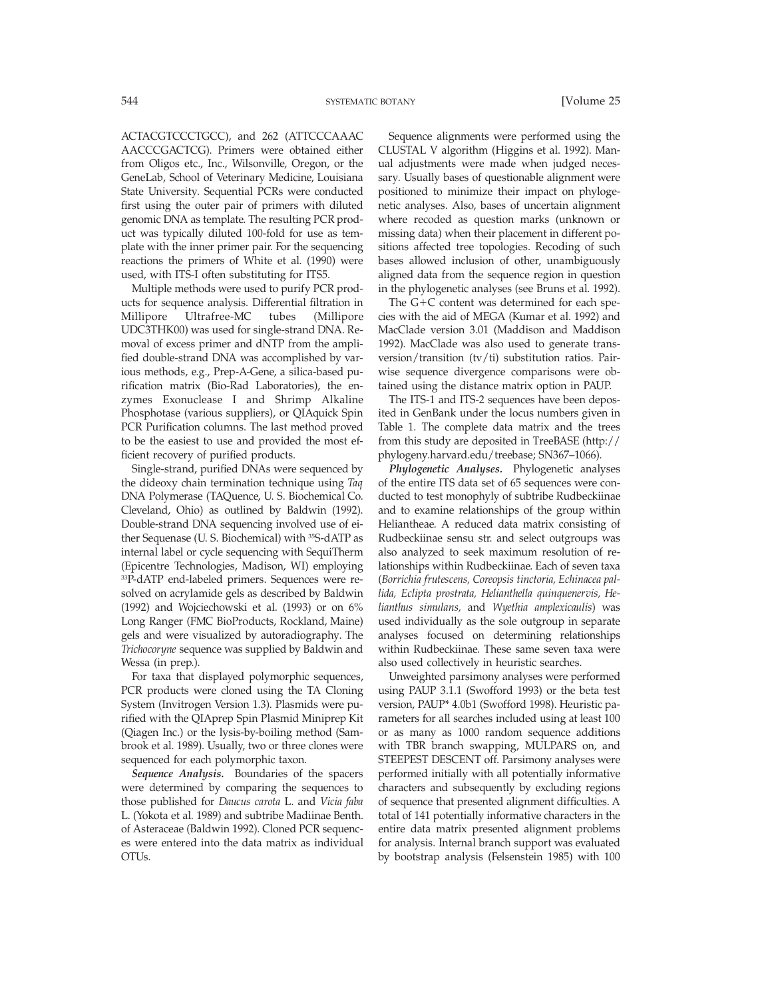ACTACGTCCCTGCC), and 262 (ATTCCCAAAC AACCCGACTCG). Primers were obtained either from Oligos etc., Inc., Wilsonville, Oregon, or the GeneLab, School of Veterinary Medicine, Louisiana State University. Sequential PCRs were conducted first using the outer pair of primers with diluted genomic DNA as template. The resulting PCR product was typically diluted 100-fold for use as template with the inner primer pair. For the sequencing reactions the primers of White et al. (1990) were used, with ITS-I often substituting for ITS5.

Multiple methods were used to purify PCR products for sequence analysis. Differential filtration in Millipore Ultrafree-MC tubes (Millipore UDC3THK00) was used for single-strand DNA. Removal of excess primer and dNTP from the amplified double-strand DNA was accomplished by various methods, e.g., Prep-A-Gene, a silica-based purification matrix (Bio-Rad Laboratories), the enzymes Exonuclease I and Shrimp Alkaline Phosphotase (various suppliers), or QIAquick Spin PCR Purification columns. The last method proved to be the easiest to use and provided the most efficient recovery of purified products.

Single-strand, purified DNAs were sequenced by the dideoxy chain termination technique using *Taq* DNA Polymerase (TAQuence, U. S. Biochemical Co. Cleveland, Ohio) as outlined by Baldwin (1992). Double-strand DNA sequencing involved use of either Sequenase (U. S. Biochemical) with <sup>35</sup>S-dATP as internal label or cycle sequencing with SequiTherm (Epicentre Technologies, Madison, WI) employing 33P-dATP end-labeled primers. Sequences were resolved on acrylamide gels as described by Baldwin (1992) and Wojciechowski et al. (1993) or on 6% Long Ranger (FMC BioProducts, Rockland, Maine) gels and were visualized by autoradiography. The *Trichocoryne* sequence was supplied by Baldwin and Wessa (in prep.).

For taxa that displayed polymorphic sequences, PCR products were cloned using the TA Cloning System (Invitrogen Version 1.3). Plasmids were purified with the QIAprep Spin Plasmid Miniprep Kit (Qiagen Inc.) or the lysis-by-boiling method (Sambrook et al. 1989). Usually, two or three clones were sequenced for each polymorphic taxon.

*Sequence Analysis.* Boundaries of the spacers were determined by comparing the sequences to those published for *Daucus carota* L. and *Vicia faba* L. (Yokota et al. 1989) and subtribe Madiinae Benth. of Asteraceae (Baldwin 1992). Cloned PCR sequences were entered into the data matrix as individual OTUs.

Sequence alignments were performed using the CLUSTAL V algorithm (Higgins et al. 1992). Manual adjustments were made when judged necessary. Usually bases of questionable alignment were positioned to minimize their impact on phylogenetic analyses. Also, bases of uncertain alignment where recoded as question marks (unknown or missing data) when their placement in different positions affected tree topologies. Recoding of such bases allowed inclusion of other, unambiguously aligned data from the sequence region in question in the phylogenetic analyses (see Bruns et al. 1992).

The  $G+C$  content was determined for each species with the aid of MEGA (Kumar et al. 1992) and MacClade version 3.01 (Maddison and Maddison 1992). MacClade was also used to generate transversion/transition (tv/ti) substitution ratios. Pairwise sequence divergence comparisons were obtained using the distance matrix option in PAUP.

The ITS-1 and ITS-2 sequences have been deposited in GenBank under the locus numbers given in Table 1. The complete data matrix and the trees from this study are deposited in TreeBASE (http:// phylogeny.harvard.edu/treebase; SN367–1066).

*Phylogenetic Analyses.* Phylogenetic analyses of the entire ITS data set of 65 sequences were conducted to test monophyly of subtribe Rudbeckiinae and to examine relationships of the group within Heliantheae. A reduced data matrix consisting of Rudbeckiinae sensu str. and select outgroups was also analyzed to seek maximum resolution of relationships within Rudbeckiinae. Each of seven taxa (*Borrichia frutescens, Coreopsis tinctoria, Echinacea pallida, Eclipta prostrata, Helianthella quinquenervis, Helianthus simulans,* and *Wyethia amplexicaulis*) was used individually as the sole outgroup in separate analyses focused on determining relationships within Rudbeckiinae. These same seven taxa were also used collectively in heuristic searches.

Unweighted parsimony analyses were performed using PAUP 3.1.1 (Swofford 1993) or the beta test version, PAUP\* 4.0b1 (Swofford 1998). Heuristic parameters for all searches included using at least 100 or as many as 1000 random sequence additions with TBR branch swapping, MULPARS on, and STEEPEST DESCENT off. Parsimony analyses were performed initially with all potentially informative characters and subsequently by excluding regions of sequence that presented alignment difficulties. A total of 141 potentially informative characters in the entire data matrix presented alignment problems for analysis. Internal branch support was evaluated by bootstrap analysis (Felsenstein 1985) with 100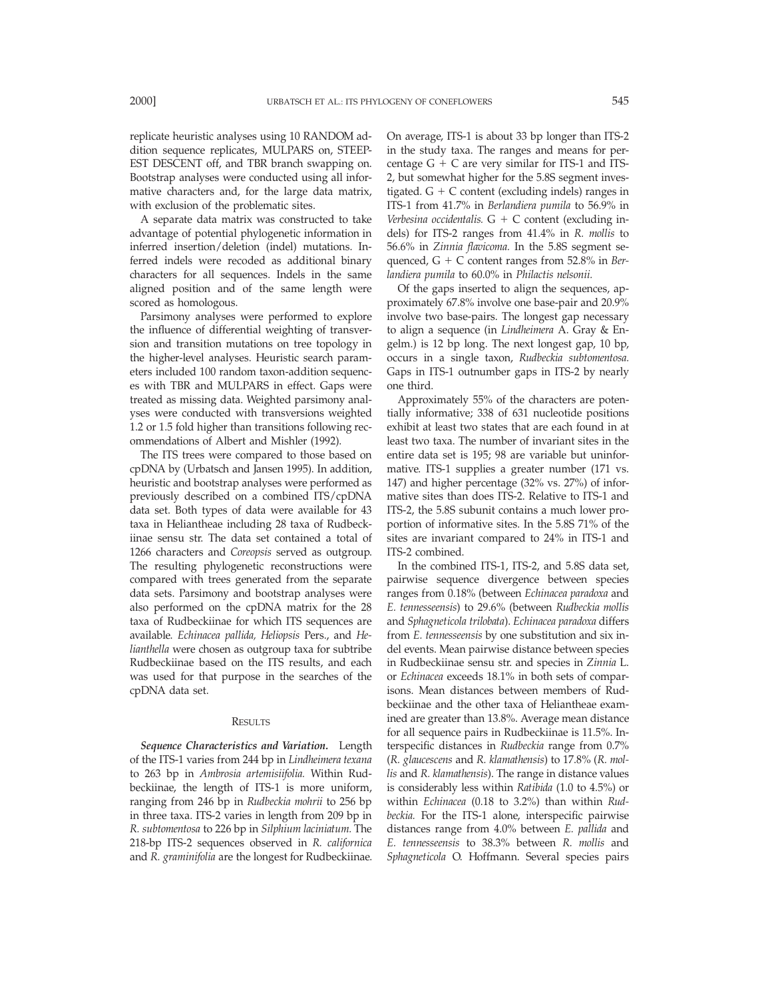replicate heuristic analyses using 10 RANDOM addition sequence replicates, MULPARS on, STEEP-EST DESCENT off, and TBR branch swapping on. Bootstrap analyses were conducted using all informative characters and, for the large data matrix, with exclusion of the problematic sites.

A separate data matrix was constructed to take advantage of potential phylogenetic information in inferred insertion/deletion (indel) mutations. Inferred indels were recoded as additional binary characters for all sequences. Indels in the same aligned position and of the same length were scored as homologous.

Parsimony analyses were performed to explore the influence of differential weighting of transversion and transition mutations on tree topology in the higher-level analyses. Heuristic search parameters included 100 random taxon-addition sequences with TBR and MULPARS in effect. Gaps were treated as missing data. Weighted parsimony analyses were conducted with transversions weighted 1.2 or 1.5 fold higher than transitions following recommendations of Albert and Mishler (1992).

The ITS trees were compared to those based on cpDNA by (Urbatsch and Jansen 1995). In addition, heuristic and bootstrap analyses were performed as previously described on a combined ITS/cpDNA data set. Both types of data were available for 43 taxa in Heliantheae including 28 taxa of Rudbeckiinae sensu str. The data set contained a total of 1266 characters and *Coreopsis* served as outgroup. The resulting phylogenetic reconstructions were compared with trees generated from the separate data sets. Parsimony and bootstrap analyses were also performed on the cpDNA matrix for the 28 taxa of Rudbeckiinae for which ITS sequences are available. *Echinacea pallida, Heliopsis* Pers., and *Helianthella* were chosen as outgroup taxa for subtribe Rudbeckiinae based on the ITS results, and each was used for that purpose in the searches of the cpDNA data set.

#### RESULTS

*Sequence Characteristics and Variation.* Length of the ITS-1 varies from 244 bp in *Lindheimera texana* to 263 bp in *Ambrosia artemisiifolia.* Within Rudbeckiinae, the length of ITS-1 is more uniform, ranging from 246 bp in *Rudbeckia mohrii* to 256 bp in three taxa. ITS-2 varies in length from 209 bp in *R. subtomentosa* to 226 bp in *Silphium laciniatum.* The 218-bp ITS-2 sequences observed in *R. californica* and *R. graminifolia* are the longest for Rudbeckiinae.

On average, ITS-1 is about 33 bp longer than ITS-2 in the study taxa. The ranges and means for percentage  $G + C$  are very similar for ITS-1 and ITS-2, but somewhat higher for the 5.8S segment investigated.  $G + C$  content (excluding indels) ranges in ITS-1 from 41.7% in *Berlandiera pumila* to 56.9% in Verbesina occidentalis.  $G + C$  content (excluding indels) for ITS-2 ranges from 41.4% in *R. mollis* to 56.6% in *Zinnia flavicoma.* In the 5.8S segment sequenced, G 1 C content ranges from 52.8% in *Berlandiera pumila* to 60.0% in *Philactis nelsonii.*

Of the gaps inserted to align the sequences, approximately 67.8% involve one base-pair and 20.9% involve two base-pairs. The longest gap necessary to align a sequence (in *Lindheimera* A. Gray & Engelm.) is 12 bp long. The next longest gap, 10 bp, occurs in a single taxon, *Rudbeckia subtomentosa.* Gaps in ITS-1 outnumber gaps in ITS-2 by nearly one third.

Approximately 55% of the characters are potentially informative; 338 of 631 nucleotide positions exhibit at least two states that are each found in at least two taxa. The number of invariant sites in the entire data set is 195; 98 are variable but uninformative. ITS-1 supplies a greater number (171 vs. 147) and higher percentage (32% vs. 27%) of informative sites than does ITS-2. Relative to ITS-1 and ITS-2, the 5.8S subunit contains a much lower proportion of informative sites. In the 5.8S 71% of the sites are invariant compared to 24% in ITS-1 and ITS-2 combined.

In the combined ITS-1, ITS-2, and 5.8S data set, pairwise sequence divergence between species ranges from 0.18% (between *Echinacea paradoxa* and *E. tennesseensis*) to 29.6% (between *Rudbeckia mollis* and *Sphagneticola trilobata*). *Echinacea paradoxa* differs from *E. tennesseensis* by one substitution and six indel events. Mean pairwise distance between species in Rudbeckiinae sensu str. and species in *Zinnia* L. or *Echinacea* exceeds 18.1% in both sets of comparisons. Mean distances between members of Rudbeckiinae and the other taxa of Heliantheae examined are greater than 13.8%. Average mean distance for all sequence pairs in Rudbeckiinae is 11.5%. Interspecific distances in *Rudbeckia* range from 0.7% (*R. glaucescens* and *R. klamathensis*) to 17.8% (*R. mollis* and *R. klamathensis*). The range in distance values is considerably less within *Ratibida* (1.0 to 4.5%) or within *Echinacea* (0.18 to 3.2%) than within *Rudbeckia.* For the ITS-1 alone, interspecific pairwise distances range from 4.0% between *E. pallida* and *E. tennesseensis* to 38.3% between *R. mollis* and *Sphagneticola* O. Hoffmann. Several species pairs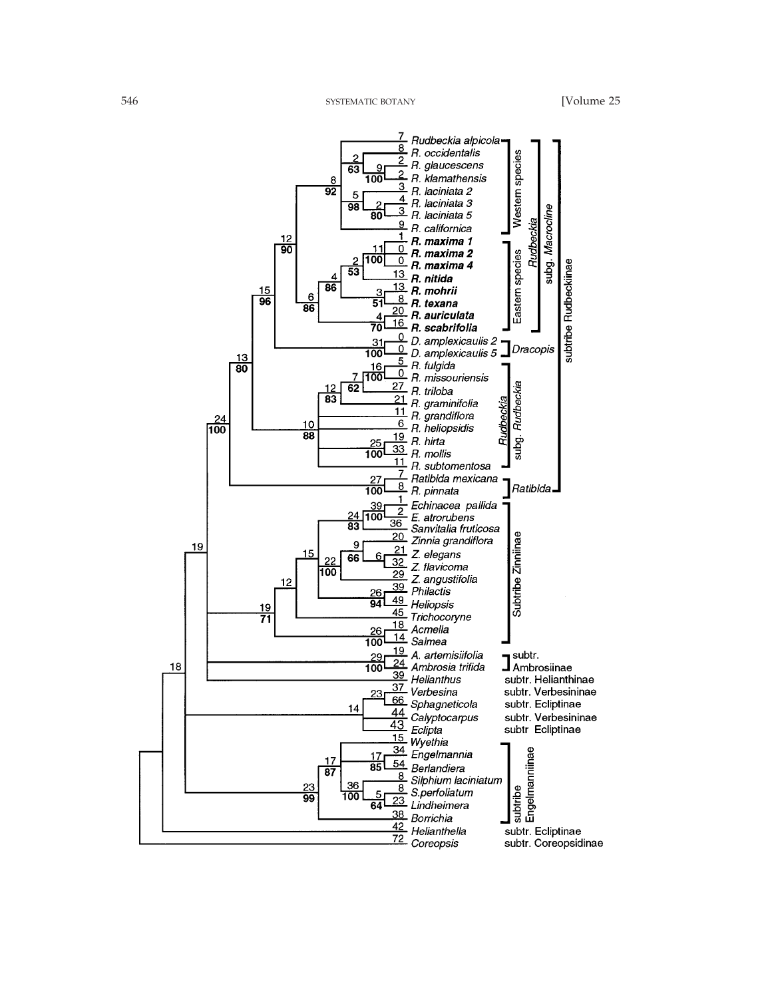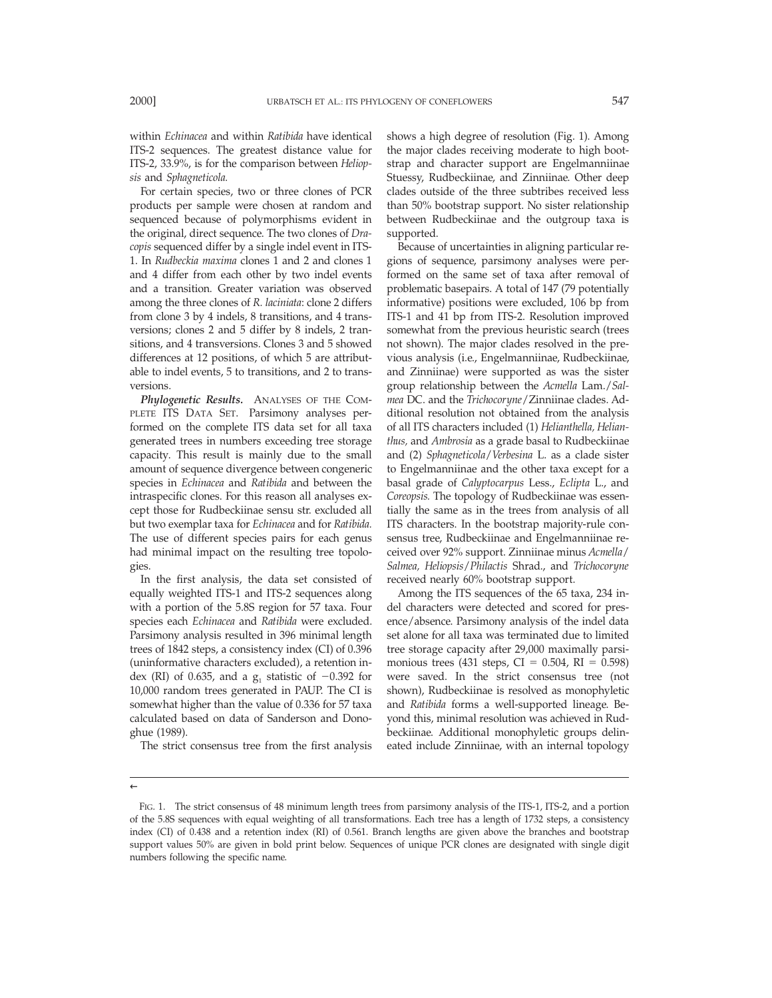For certain species, two or three clones of PCR products per sample were chosen at random and sequenced because of polymorphisms evident in the original, direct sequence. The two clones of *Dracopis* sequenced differ by a single indel event in ITS-1. In *Rudbeckia maxima* clones 1 and 2 and clones 1 and 4 differ from each other by two indel events and a transition. Greater variation was observed among the three clones of *R. laciniata*: clone 2 differs from clone 3 by 4 indels, 8 transitions, and 4 transversions; clones 2 and 5 differ by 8 indels, 2 transitions, and 4 transversions. Clones 3 and 5 showed differences at 12 positions, of which 5 are attributable to indel events, 5 to transitions, and 2 to transversions.

*Phylogenetic Results.* ANALYSES OF THE COM-PLETE ITS DATA SET. Parsimony analyses performed on the complete ITS data set for all taxa generated trees in numbers exceeding tree storage capacity. This result is mainly due to the small amount of sequence divergence between congeneric species in *Echinacea* and *Ratibida* and between the intraspecific clones. For this reason all analyses except those for Rudbeckiinae sensu str. excluded all but two exemplar taxa for *Echinacea* and for *Ratibida.* The use of different species pairs for each genus had minimal impact on the resulting tree topologies.

In the first analysis, the data set consisted of equally weighted ITS-1 and ITS-2 sequences along with a portion of the 5.8S region for 57 taxa. Four species each *Echinacea* and *Ratibida* were excluded. Parsimony analysis resulted in 396 minimal length trees of 1842 steps, a consistency index (CI) of 0.396 (uninformative characters excluded), a retention index (RI) of 0.635, and a  $g_1$  statistic of  $-0.392$  for 10,000 random trees generated in PAUP. The CI is somewhat higher than the value of 0.336 for 57 taxa calculated based on data of Sanderson and Donoghue (1989).

The strict consensus tree from the first analysis

shows a high degree of resolution (Fig. 1). Among the major clades receiving moderate to high bootstrap and character support are Engelmanniinae Stuessy, Rudbeckiinae, and Zinniinae. Other deep clades outside of the three subtribes received less than 50% bootstrap support. No sister relationship between Rudbeckiinae and the outgroup taxa is supported.

Because of uncertainties in aligning particular regions of sequence, parsimony analyses were performed on the same set of taxa after removal of problematic basepairs. A total of 147 (79 potentially informative) positions were excluded, 106 bp from ITS-1 and 41 bp from ITS-2. Resolution improved somewhat from the previous heuristic search (trees not shown). The major clades resolved in the previous analysis (i.e., Engelmanniinae, Rudbeckiinae, and Zinniinae) were supported as was the sister group relationship between the *Acmella* Lam./*Salmea* DC. and the *Trichocoryne*/Zinniinae clades. Additional resolution not obtained from the analysis of all ITS characters included (1) *Helianthella, Helianthus,* and *Ambrosia* as a grade basal to Rudbeckiinae and (2) *Sphagneticola*/*Verbesina* L. as a clade sister to Engelmanniinae and the other taxa except for a basal grade of *Calyptocarpus* Less., *Eclipta* L., and *Coreopsis.* The topology of Rudbeckiinae was essentially the same as in the trees from analysis of all ITS characters. In the bootstrap majority-rule consensus tree, Rudbeckiinae and Engelmanniinae received over 92% support. Zinniinae minus *Acmella*/ *Salmea, Heliopsis*/*Philactis* Shrad., and *Trichocoryne* received nearly 60% bootstrap support.

Among the ITS sequences of the 65 taxa, 234 indel characters were detected and scored for presence/absence. Parsimony analysis of the indel data set alone for all taxa was terminated due to limited tree storage capacity after 29,000 maximally parsimonious trees (431 steps,  $CI = 0.504$ ,  $RI = 0.598$ ) were saved. In the strict consensus tree (not shown), Rudbeckiinae is resolved as monophyletic and *Ratibida* forms a well-supported lineage. Beyond this, minimal resolution was achieved in Rudbeckiinae. Additional monophyletic groups delineated include Zinniinae, with an internal topology

FIG. 1. The strict consensus of 48 minimum length trees from parsimony analysis of the ITS-1, ITS-2, and a portion of the 5.8S sequences with equal weighting of all transformations. Each tree has a length of 1732 steps, a consistency index (CI) of 0.438 and a retention index (RI) of 0.561. Branch lengths are given above the branches and bootstrap support values 50% are given in bold print below. Sequences of unique PCR clones are designated with single digit numbers following the specific name.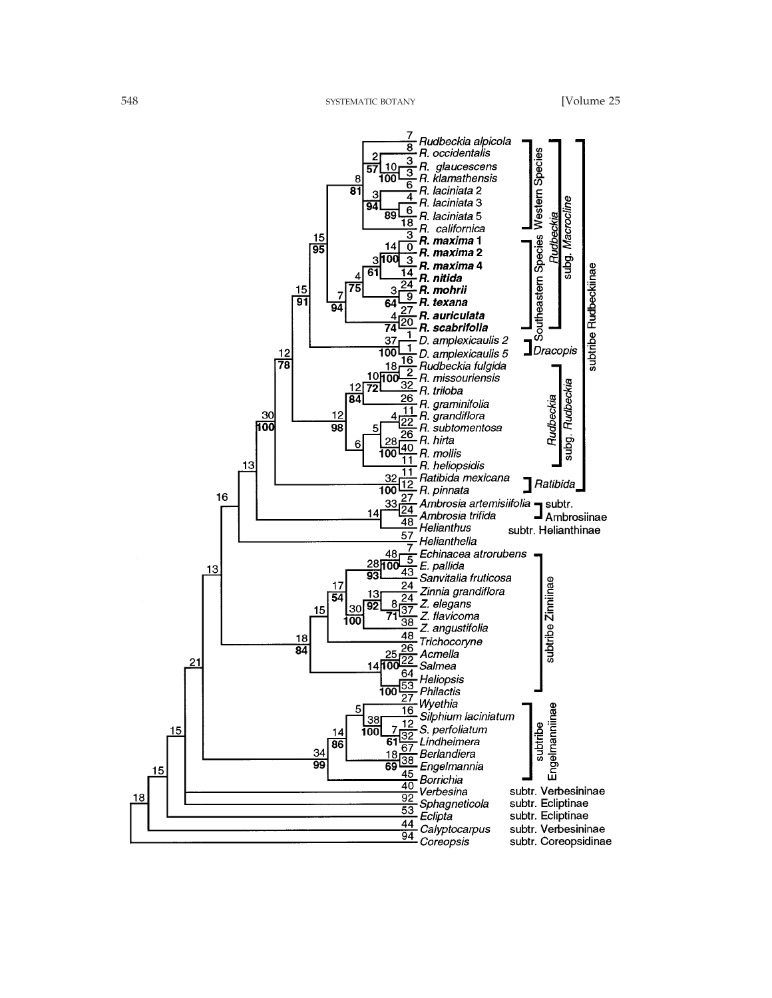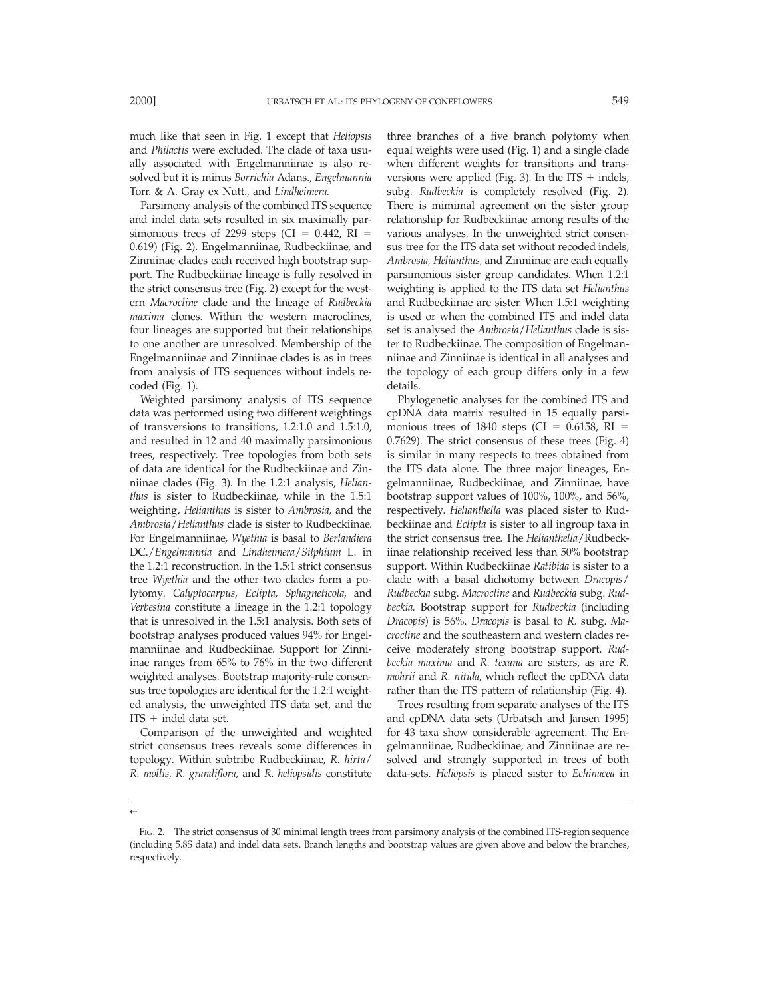much like that seen in Fig. 1 except that *Heliopsis* and *Philactis* were excluded. The clade of taxa usually associated with Engelmanniinae is also resolved but it is minus *Borrichia* Adans., *Engelmannia* Torr. & A. Gray ex Nutt., and *Lindheimera.*

Parsimony analysis of the combined ITS sequence and indel data sets resulted in six maximally parsimonious trees of 2299 steps (CI =  $0.442$ , RI = 0.619) (Fig. 2). Engelmanniinae, Rudbeckiinae, and Zinniinae clades each received high bootstrap support. The Rudbeckiinae lineage is fully resolved in the strict consensus tree (Fig. 2) except for the western *Macrocline* clade and the lineage of *Rudbeckia maxima* clones. Within the western macroclines, four lineages are supported but their relationships to one another are unresolved. Membership of the Engelmanniinae and Zinniinae clades is as in trees from analysis of ITS sequences without indels recoded (Fig. 1).

Weighted parsimony analysis of ITS sequence data was performed using two different weightings of transversions to transitions, 1.2:1.0 and 1.5:1.0, and resulted in 12 and 40 maximally parsimonious trees, respectively. Tree topologies from both sets of data are identical for the Rudbeckiinae and Zinniinae clades (Fig. 3). In the 1.2:1 analysis, *Helianthus* is sister to Rudbeckiinae, while in the 1.5:1 weighting, *Helianthus* is sister to *Ambrosia,* and the *Ambrosia*/*Helianthus* clade is sister to Rudbeckiinae. For Engelmanniinae, *Wyethia* is basal to *Berlandiera* DC./*Engelmannia* and *Lindheimera*/*Silphium* L. in the 1.2:1 reconstruction. In the 1.5:1 strict consensus tree *Wyethia* and the other two clades form a polytomy. *Calyptocarpus, Eclipta, Sphagneticola,* and *Verbesina* constitute a lineage in the 1.2:1 topology that is unresolved in the 1.5:1 analysis. Both sets of bootstrap analyses produced values 94% for Engelmanniinae and Rudbeckiinae. Support for Zinniinae ranges from 65% to 76% in the two different weighted analyses. Bootstrap majority-rule consensus tree topologies are identical for the 1.2:1 weighted analysis, the unweighted ITS data set, and the  $ITS + indel$  data set.

Comparison of the unweighted and weighted strict consensus trees reveals some differences in topology. Within subtribe Rudbeckiinae, *R. hirta*/ *R. mollis, R. grandiflora,* and *R. heliopsidis* constitute

three branches of a five branch polytomy when equal weights were used (Fig. 1) and a single clade when different weights for transitions and transversions were applied (Fig. 3). In the ITS  $+$  indels, subg. *Rudbeckia* is completely resolved (Fig. 2). There is mimimal agreement on the sister group relationship for Rudbeckiinae among results of the various analyses. In the unweighted strict consensus tree for the ITS data set without recoded indels, *Ambrosia, Helianthus,* and Zinniinae are each equally parsimonious sister group candidates. When 1.2:1 weighting is applied to the ITS data set *Helianthus* and Rudbeckiinae are sister. When 1.5:1 weighting is used or when the combined ITS and indel data set is analysed the *Ambrosia*/*Helianthus* clade is sister to Rudbeckiinae. The composition of Engelmanniinae and Zinniinae is identical in all analyses and the topology of each group differs only in a few details.

Phylogenetic analyses for the combined ITS and cpDNA data matrix resulted in 15 equally parsimonious trees of 1840 steps (CI =  $0.6158$ , RI = 0.7629). The strict consensus of these trees (Fig. 4) is similar in many respects to trees obtained from the ITS data alone. The three major lineages, Engelmanniinae, Rudbeckiinae, and Zinniinae, have bootstrap support values of 100%, 100%, and 56%, respectively. *Helianthella* was placed sister to Rudbeckiinae and *Eclipta* is sister to all ingroup taxa in the strict consensus tree. The *Helianthella*/Rudbeckiinae relationship received less than 50% bootstrap support. Within Rudbeckiinae *Ratibida* is sister to a clade with a basal dichotomy between *Dracopis*/ *Rudbeckia* subg. *Macrocline* and *Rudbeckia* subg. *Rudbeckia.* Bootstrap support for *Rudbeckia* (including *Dracopis*) is 56%. *Dracopis* is basal to *R.* subg. *Macrocline* and the southeastern and western clades receive moderately strong bootstrap support. *Rudbeckia maxima* and *R. texana* are sisters, as are *R. mohrii* and *R. nitida,* which reflect the cpDNA data rather than the ITS pattern of relationship (Fig. 4).

Trees resulting from separate analyses of the ITS and cpDNA data sets (Urbatsch and Jansen 1995) for 43 taxa show considerable agreement. The Engelmanniinae, Rudbeckiinae, and Zinniinae are resolved and strongly supported in trees of both data-sets. *Heliopsis* is placed sister to *Echinacea* in

FIG. 2. The strict consensus of 30 minimal length trees from parsimony analysis of the combined ITS-region sequence (including 5.8S data) and indel data sets. Branch lengths and bootstrap values are given above and below the branches, respectively.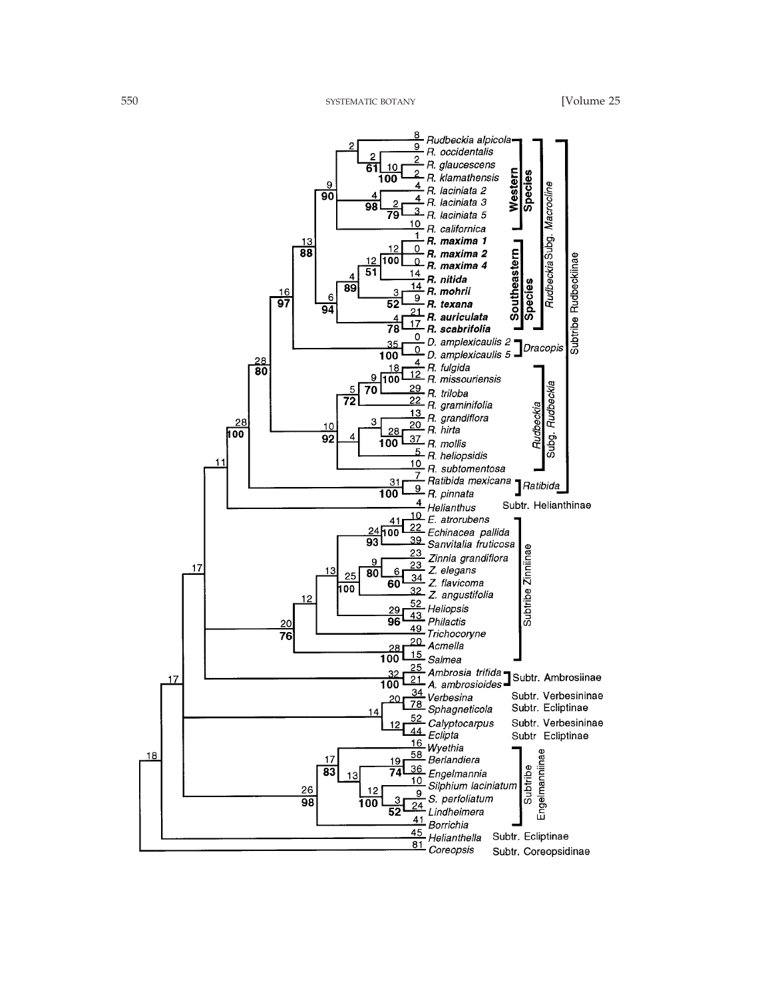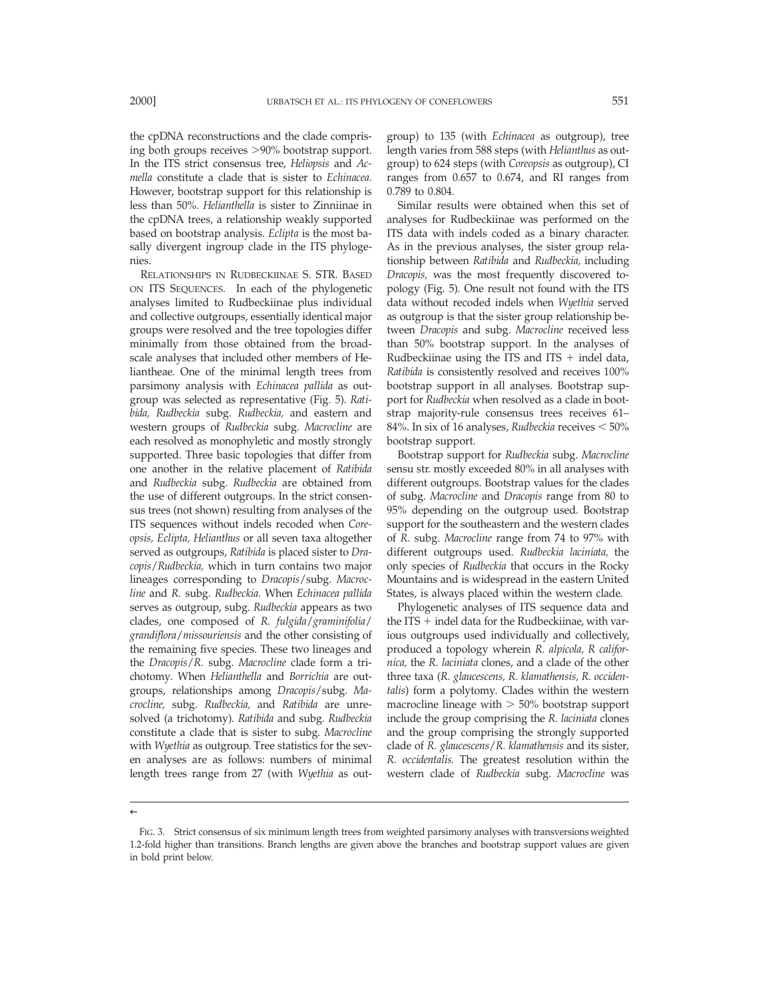the cpDNA reconstructions and the clade comprising both groups receives  $>90\%$  bootstrap support. In the ITS strict consensus tree, *Heliopsis* and *Acmella* constitute a clade that is sister to *Echinacea.* However, bootstrap support for this relationship is less than 50%. *Helianthella* is sister to Zinniinae in the cpDNA trees, a relationship weakly supported based on bootstrap analysis. *Eclipta* is the most basally divergent ingroup clade in the ITS phylogenies.

RELATIONSHIPS IN RUDBECKIINAE S. STR. BASED ON ITS SEQUENCES. In each of the phylogenetic analyses limited to Rudbeckiinae plus individual and collective outgroups, essentially identical major groups were resolved and the tree topologies differ minimally from those obtained from the broadscale analyses that included other members of Heliantheae. One of the minimal length trees from parsimony analysis with *Echinacea pallida* as outgroup was selected as representative (Fig. 5). *Ratibida, Rudbeckia* subg. *Rudbeckia,* and eastern and western groups of *Rudbeckia* subg. *Macrocline* are each resolved as monophyletic and mostly strongly supported. Three basic topologies that differ from one another in the relative placement of *Ratibida* and *Rudbeckia* subg. *Rudbeckia* are obtained from the use of different outgroups. In the strict consensus trees (not shown) resulting from analyses of the ITS sequences without indels recoded when *Coreopsis, Eclipta, Helianthus* or all seven taxa altogether served as outgroups, *Ratibida* is placed sister to *Dracopis*/*Rudbeckia,* which in turn contains two major lineages corresponding to *Dracopis*/subg. *Macrocline* and *R.* subg. *Rudbeckia.* When *Echinacea pallida* serves as outgroup, subg. *Rudbeckia* appears as two clades, one composed of *R. fulgida*/*graminifolia*/ *grandiflora*/*missouriensis* and the other consisting of the remaining five species. These two lineages and the *Dracopis*/*R.* subg. *Macrocline* clade form a trichotomy. When *Helianthella* and *Borrichia* are outgroups, relationships among *Dracopis*/subg. *Macrocline,* subg. *Rudbeckia,* and *Ratibida* are unresolved (a trichotomy). *Ratibida* and subg. *Rudbeckia* constitute a clade that is sister to subg. *Macrocline* with *Wyethia* as outgroup. Tree statistics for the seven analyses are as follows: numbers of minimal length trees range from 27 (with *Wyethia* as out-

group) to 135 (with *Echinacea* as outgroup), tree length varies from 588 steps (with *Helianthus* as outgroup) to 624 steps (with *Coreopsis* as outgroup), CI ranges from 0.657 to 0.674, and RI ranges from 0.789 to 0.804.

Similar results were obtained when this set of analyses for Rudbeckiinae was performed on the ITS data with indels coded as a binary character. As in the previous analyses, the sister group relationship between *Ratibida* and *Rudbeckia,* including *Dracopis,* was the most frequently discovered topology (Fig. 5). One result not found with the ITS data without recoded indels when *Wyethia* served as outgroup is that the sister group relationship between *Dracopis* and subg. *Macrocline* received less than 50% bootstrap support. In the analyses of Rudbeckiinae using the ITS and ITS  $+$  indel data, *Ratibida* is consistently resolved and receives 100% bootstrap support in all analyses. Bootstrap support for *Rudbeckia* when resolved as a clade in bootstrap majority-rule consensus trees receives 61– 84%. In six of 16 analyses, *Rudbeckia* receives  $<$  50% bootstrap support.

Bootstrap support for *Rudbeckia* subg. *Macrocline* sensu str. mostly exceeded 80% in all analyses with different outgroups. Bootstrap values for the clades of subg. *Macrocline* and *Dracopis* range from 80 to 95% depending on the outgroup used. Bootstrap support for the southeastern and the western clades of *R.* subg. *Macrocline* range from 74 to 97% with different outgroups used. *Rudbeckia laciniata,* the only species of *Rudbeckia* that occurs in the Rocky Mountains and is widespread in the eastern United States, is always placed within the western clade.

Phylogenetic analyses of ITS sequence data and the ITS  $+$  indel data for the Rudbeckiinae, with various outgroups used individually and collectively, produced a topology wherein *R. alpicola, R californica,* the *R. laciniata* clones, and a clade of the other three taxa (*R. glaucescens, R. klamathensis, R. occidentalis*) form a polytomy. Clades within the western macrocline lineage with  $> 50\%$  bootstrap support include the group comprising the *R. laciniata* clones and the group comprising the strongly supported clade of *R. glaucescens*/*R. klamathensis* and its sister, *R. occidentalis.* The greatest resolution within the western clade of *Rudbeckia* subg. *Macrocline* was

FIG. 3. Strict consensus of six minimum length trees from weighted parsimony analyses with transversions weighted 1.2-fold higher than transitions. Branch lengths are given above the branches and bootstrap support values are given in bold print below.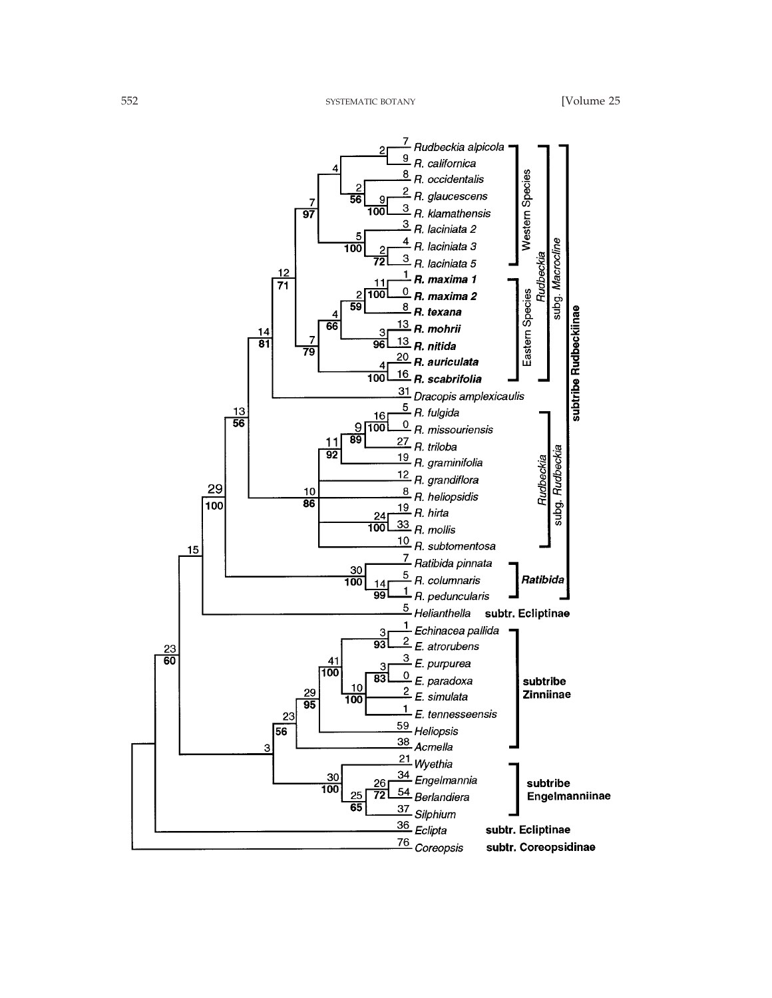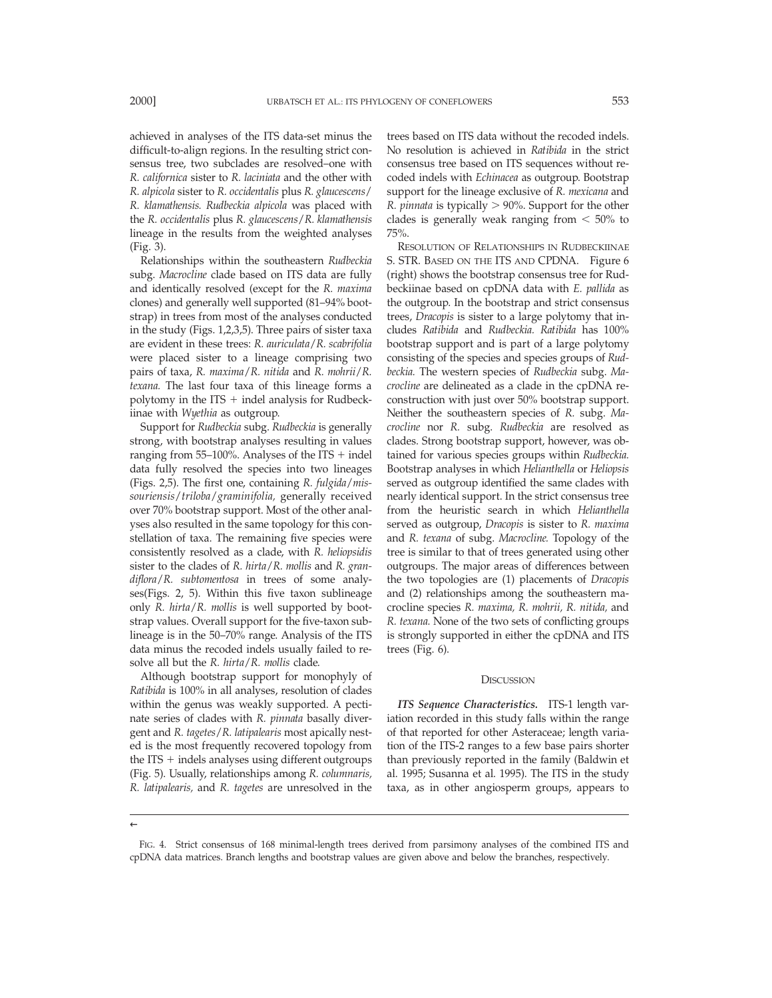achieved in analyses of the ITS data-set minus the difficult-to-align regions. In the resulting strict consensus tree, two subclades are resolved–one with *R. californica* sister to *R. laciniata* and the other with *R. alpicola* sister to *R. occidentalis* plus *R. glaucescens*/ *R. klamathensis. Rudbeckia alpicola* was placed with the *R. occidentalis* plus *R. glaucescens*/*R. klamathensis* lineage in the results from the weighted analyses (Fig. 3).

Relationships within the southeastern *Rudbeckia* subg. *Macrocline* clade based on ITS data are fully and identically resolved (except for the *R. maxima* clones) and generally well supported (81–94% bootstrap) in trees from most of the analyses conducted in the study (Figs. 1,2,3,5). Three pairs of sister taxa are evident in these trees: *R. auriculata*/*R. scabrifolia* were placed sister to a lineage comprising two pairs of taxa, *R. maxima*/*R. nitida* and *R. mohrii*/*R. texana.* The last four taxa of this lineage forms a polytomy in the ITS  $+$  indel analysis for Rudbeckiinae with *Wyethia* as outgroup.

Support for *Rudbeckia* subg. *Rudbeckia* is generally strong, with bootstrap analyses resulting in values ranging from  $55-100\%$ . Analyses of the ITS + indel data fully resolved the species into two lineages (Figs. 2,5). The first one, containing *R. fulgida*/*missouriensis*/*triloba*/*graminifolia,* generally received over 70% bootstrap support. Most of the other analyses also resulted in the same topology for this constellation of taxa. The remaining five species were consistently resolved as a clade, with *R. heliopsidis* sister to the clades of *R. hirta*/*R. mollis* and *R. grandiflora*/*R. subtomentosa* in trees of some analyses(Figs. 2, 5). Within this five taxon sublineage only *R. hirta*/*R. mollis* is well supported by bootstrap values. Overall support for the five-taxon sublineage is in the 50–70% range. Analysis of the ITS data minus the recoded indels usually failed to resolve all but the *R. hirta*/*R. mollis* clade.

Although bootstrap support for monophyly of *Ratibida* is 100% in all analyses, resolution of clades within the genus was weakly supported. A pectinate series of clades with *R. pinnata* basally divergent and *R. tagetes*/*R. latipalearis* most apically nested is the most frequently recovered topology from the ITS  $+$  indels analyses using different outgroups (Fig. 5). Usually, relationships among *R. columnaris, R. latipalearis,* and *R. tagetes* are unresolved in the

trees based on ITS data without the recoded indels. No resolution is achieved in *Ratibida* in the strict consensus tree based on ITS sequences without recoded indels with *Echinacea* as outgroup. Bootstrap support for the lineage exclusive of *R. mexicana* and *R. pinnata* is typically  $> 90\%$ . Support for the other clades is generally weak ranging from  $< 50\%$  to 75%.

RESOLUTION OF RELATIONSHIPS IN RUDBECKIINAE S. STR. BASED ON THE ITS AND CPDNA. Figure 6 (right) shows the bootstrap consensus tree for Rudbeckiinae based on cpDNA data with *E. pallida* as the outgroup. In the bootstrap and strict consensus trees, *Dracopis* is sister to a large polytomy that includes *Ratibida* and *Rudbeckia. Ratibida* has 100% bootstrap support and is part of a large polytomy consisting of the species and species groups of *Rudbeckia.* The western species of *Rudbeckia* subg. *Macrocline* are delineated as a clade in the cpDNA reconstruction with just over 50% bootstrap support. Neither the southeastern species of *R.* subg. *Macrocline* nor *R.* subg. *Rudbeckia* are resolved as clades. Strong bootstrap support, however, was obtained for various species groups within *Rudbeckia.* Bootstrap analyses in which *Helianthella* or *Heliopsis* served as outgroup identified the same clades with nearly identical support. In the strict consensus tree from the heuristic search in which *Helianthella* served as outgroup, *Dracopis* is sister to *R. maxima* and *R. texana* of subg. *Macrocline.* Topology of the tree is similar to that of trees generated using other outgroups. The major areas of differences between the two topologies are (1) placements of *Dracopis* and (2) relationships among the southeastern macrocline species *R. maxima, R. mohrii, R. nitida,* and *R. texana.* None of the two sets of conflicting groups is strongly supported in either the cpDNA and ITS trees (Fig. 6).

#### **DISCUSSION**

*ITS Sequence Characteristics.* ITS-1 length variation recorded in this study falls within the range of that reported for other Asteraceae; length variation of the ITS-2 ranges to a few base pairs shorter than previously reported in the family (Baldwin et al. 1995; Susanna et al. 1995). The ITS in the study taxa, as in other angiosperm groups, appears to

FIG. 4. Strict consensus of 168 minimal-length trees derived from parsimony analyses of the combined ITS and cpDNA data matrices. Branch lengths and bootstrap values are given above and below the branches, respectively.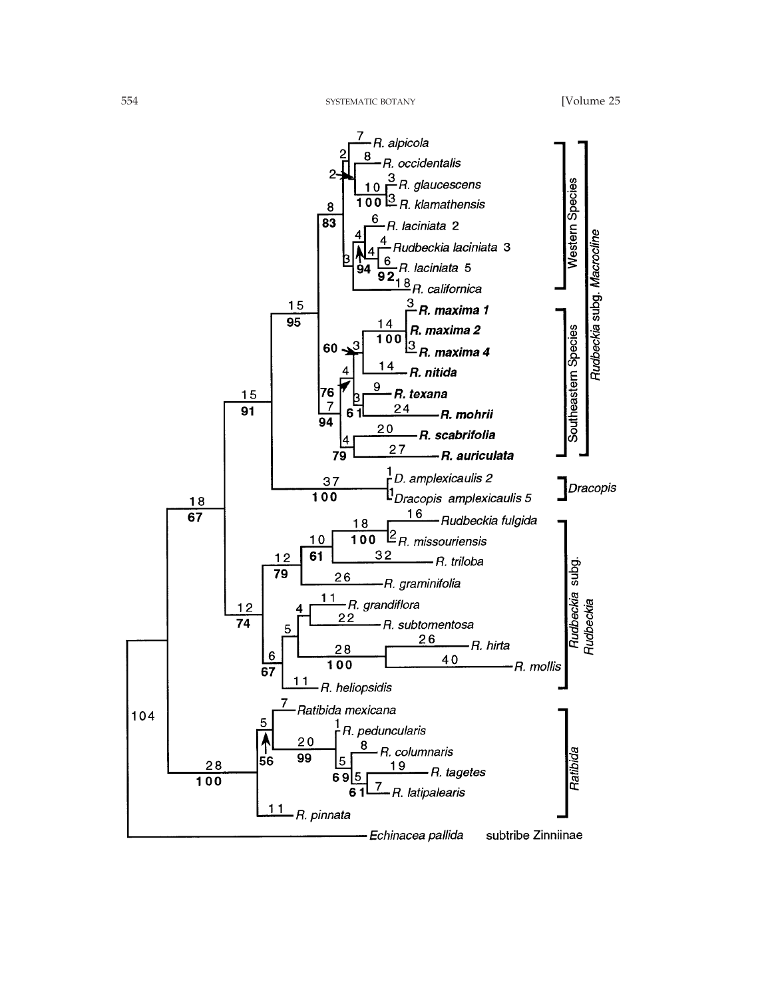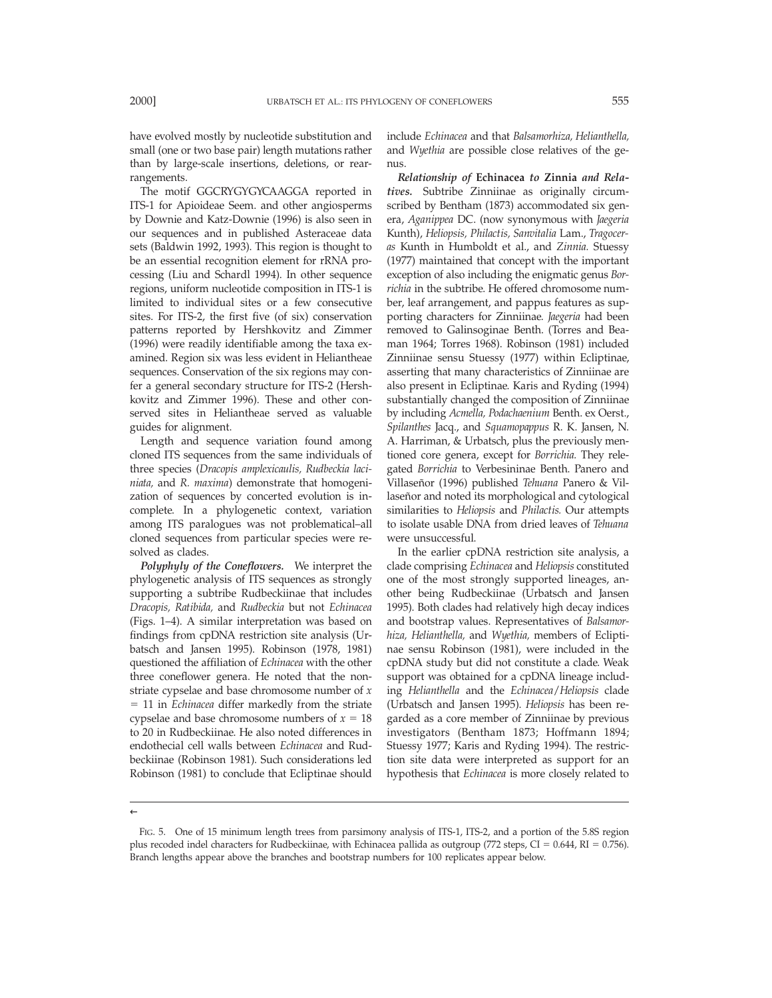have evolved mostly by nucleotide substitution and small (one or two base pair) length mutations rather than by large-scale insertions, deletions, or rearrangements.

The motif GGCRYGYGYCAAGGA reported in ITS-1 for Apioideae Seem. and other angiosperms by Downie and Katz-Downie (1996) is also seen in our sequences and in published Asteraceae data sets (Baldwin 1992, 1993). This region is thought to be an essential recognition element for rRNA processing (Liu and Schardl 1994). In other sequence regions, uniform nucleotide composition in ITS-1 is limited to individual sites or a few consecutive sites. For ITS-2, the first five (of six) conservation patterns reported by Hershkovitz and Zimmer (1996) were readily identifiable among the taxa examined. Region six was less evident in Heliantheae sequences. Conservation of the six regions may confer a general secondary structure for ITS-2 (Hershkovitz and Zimmer 1996). These and other conserved sites in Heliantheae served as valuable guides for alignment.

Length and sequence variation found among cloned ITS sequences from the same individuals of three species (*Dracopis amplexicaulis, Rudbeckia laciniata,* and *R. maxima*) demonstrate that homogenization of sequences by concerted evolution is incomplete. In a phylogenetic context, variation among ITS paralogues was not problematical–all cloned sequences from particular species were resolved as clades.

*Polyphyly of the Coneflowers.* We interpret the phylogenetic analysis of ITS sequences as strongly supporting a subtribe Rudbeckiinae that includes *Dracopis, Ratibida,* and *Rudbeckia* but not *Echinacea* (Figs. 1–4). A similar interpretation was based on findings from cpDNA restriction site analysis (Urbatsch and Jansen 1995). Robinson (1978, 1981) questioned the affiliation of *Echinacea* with the other three coneflower genera. He noted that the nonstriate cypselae and base chromosome number of *x* 5 11 in *Echinacea* differ markedly from the striate cypselae and base chromosome numbers of  $x = 18$ to 20 in Rudbeckiinae. He also noted differences in endothecial cell walls between *Echinacea* and Rudbeckiinae (Robinson 1981). Such considerations led Robinson (1981) to conclude that Ecliptinae should

include *Echinacea* and that *Balsamorhiza, Helianthella,* and *Wyethia* are possible close relatives of the genus.

*Relationship of* **Echinacea** *to* **Zinnia** *and Relatives.* Subtribe Zinniinae as originally circumscribed by Bentham (1873) accommodated six genera, *Aganippea* DC. (now synonymous with *Jaegeria* Kunth), *Heliopsis, Philactis, Sanvitalia* Lam., *Tragoceras* Kunth in Humboldt et al., and *Zinnia.* Stuessy (1977) maintained that concept with the important exception of also including the enigmatic genus *Borrichia* in the subtribe. He offered chromosome number, leaf arrangement, and pappus features as supporting characters for Zinniinae. *Jaegeria* had been removed to Galinsoginae Benth. (Torres and Beaman 1964; Torres 1968). Robinson (1981) included Zinniinae sensu Stuessy (1977) within Ecliptinae, asserting that many characteristics of Zinniinae are also present in Ecliptinae. Karis and Ryding (1994) substantially changed the composition of Zinniinae by including *Acmella, Podachaenium* Benth. ex Oerst., *Spilanthes* Jacq., and *Squamopappus* R. K. Jansen, N. A. Harriman, & Urbatsch, plus the previously mentioned core genera, except for *Borrichia.* They relegated *Borrichia* to Verbesininae Benth. Panero and Villasen˜or (1996) published *Tehuana* Panero & Villaseñor and noted its morphological and cytological similarities to *Heliopsis* and *Philactis.* Our attempts to isolate usable DNA from dried leaves of *Tehuana* were unsuccessful.

In the earlier cpDNA restriction site analysis, a clade comprising *Echinacea* and *Heliopsis* constituted one of the most strongly supported lineages, another being Rudbeckiinae (Urbatsch and Jansen 1995). Both clades had relatively high decay indices and bootstrap values. Representatives of *Balsamorhiza, Helianthella,* and *Wyethia,* members of Ecliptinae sensu Robinson (1981), were included in the cpDNA study but did not constitute a clade. Weak support was obtained for a cpDNA lineage including *Helianthella* and the *Echinacea*/*Heliopsis* clade (Urbatsch and Jansen 1995). *Heliopsis* has been regarded as a core member of Zinniinae by previous investigators (Bentham 1873; Hoffmann 1894; Stuessy 1977; Karis and Ryding 1994). The restriction site data were interpreted as support for an hypothesis that *Echinacea* is more closely related to

FIG. 5. One of 15 minimum length trees from parsimony analysis of ITS-1, ITS-2, and a portion of the 5.8S region plus recoded indel characters for Rudbeckiinae, with Echinacea pallida as outgroup (772 steps, CI =  $0.644$ , RI =  $0.756$ ). Branch lengths appear above the branches and bootstrap numbers for 100 replicates appear below.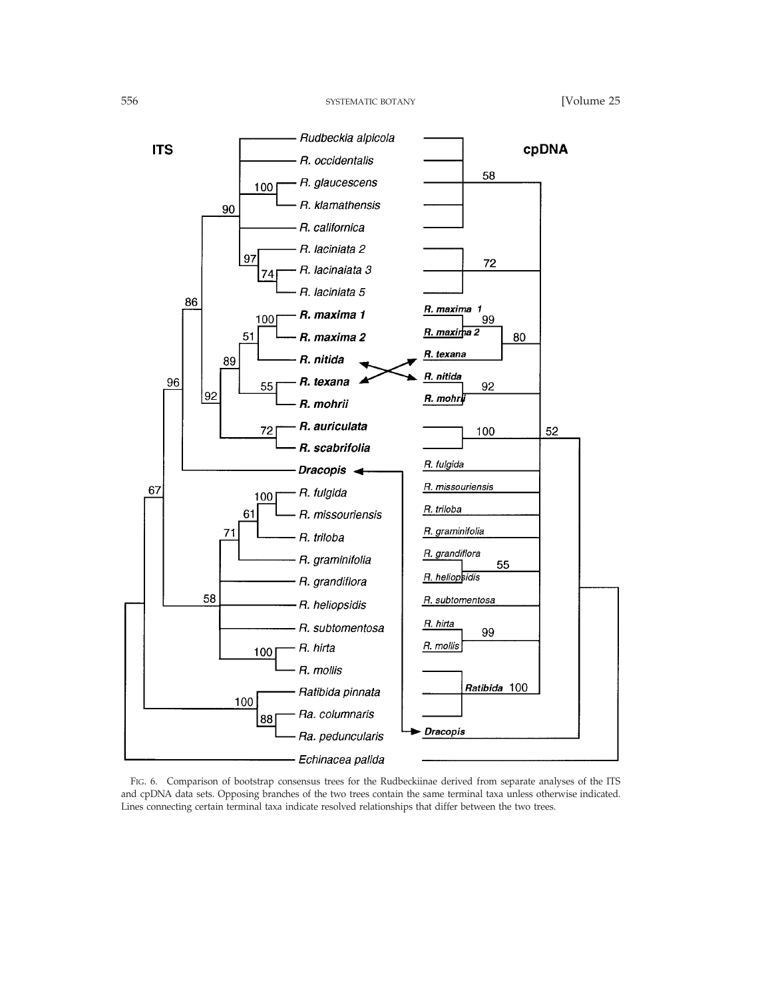

FIG. 6. Comparison of bootstrap consensus trees for the Rudbeckiinae derived from separate analyses of the ITS and cpDNA data sets. Opposing branches of the two trees contain the same terminal taxa unless otherwise indicated. Lines connecting certain terminal taxa indicate resolved relationships that differ between the two trees.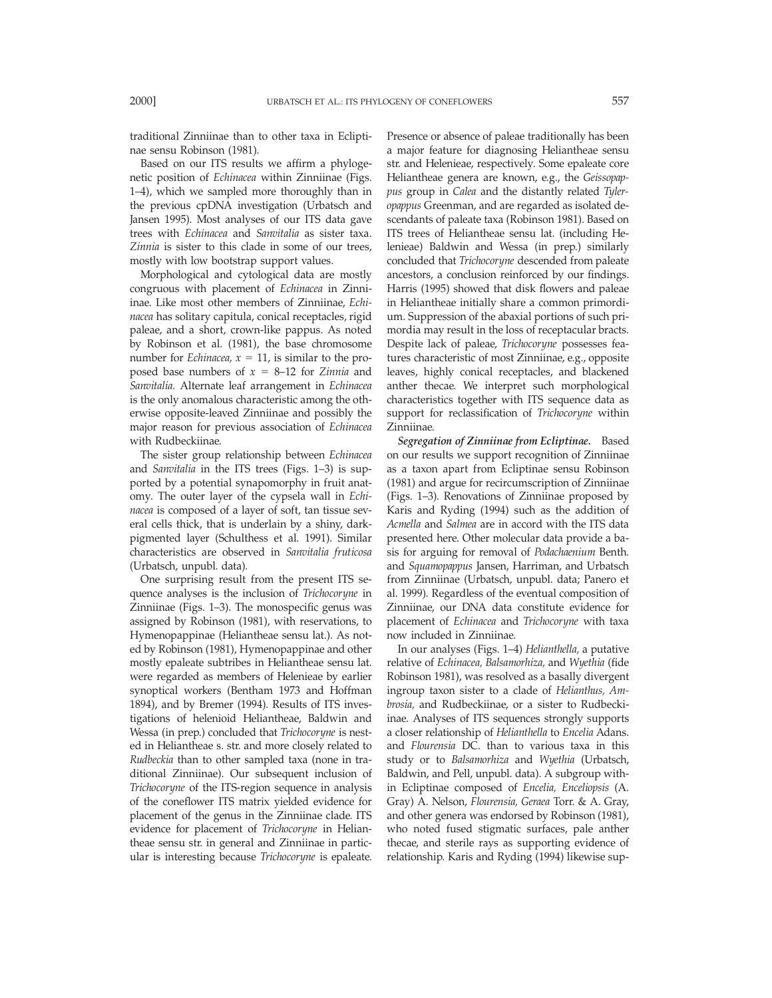traditional Zinniinae than to other taxa in Ecliptinae sensu Robinson (1981).

Based on our ITS results we affirm a phylogenetic position of *Echinacea* within Zinniinae (Figs. 1–4), which we sampled more thoroughly than in the previous cpDNA investigation (Urbatsch and Jansen 1995). Most analyses of our ITS data gave trees with *Echinacea* and *Sanvitalia* as sister taxa. *Zinnia* is sister to this clade in some of our trees, mostly with low bootstrap support values.

Morphological and cytological data are mostly congruous with placement of *Echinacea* in Zinniinae. Like most other members of Zinniinae, *Echinacea* has solitary capitula, conical receptacles, rigid paleae, and a short, crown-like pappus. As noted by Robinson et al. (1981), the base chromosome number for *Echinacea*,  $x = 11$ , is similar to the proposed base numbers of  $x = 8-12$  for *Zinnia* and *Sanvitalia.* Alternate leaf arrangement in *Echinacea* is the only anomalous characteristic among the otherwise opposite-leaved Zinniinae and possibly the major reason for previous association of *Echinacea* with Rudbeckiinae.

The sister group relationship between *Echinacea* and *Sanvitalia* in the ITS trees (Figs. 1–3) is supported by a potential synapomorphy in fruit anatomy. The outer layer of the cypsela wall in *Echinacea* is composed of a layer of soft, tan tissue several cells thick, that is underlain by a shiny, darkpigmented layer (Schulthess et al. 1991). Similar characteristics are observed in *Sanvitalia fruticosa* (Urbatsch, unpubl. data).

One surprising result from the present ITS sequence analyses is the inclusion of *Trichocoryne* in Zinniinae (Figs. 1–3). The monospecific genus was assigned by Robinson (1981), with reservations, to Hymenopappinae (Heliantheae sensu lat.). As noted by Robinson (1981), Hymenopappinae and other mostly epaleate subtribes in Heliantheae sensu lat. were regarded as members of Helenieae by earlier synoptical workers (Bentham 1973 and Hoffman 1894), and by Bremer (1994). Results of ITS investigations of helenioid Heliantheae, Baldwin and Wessa (in prep.) concluded that *Trichocoryne* is nested in Heliantheae s. str. and more closely related to *Rudbeckia* than to other sampled taxa (none in traditional Zinniinae). Our subsequent inclusion of *Trichocoryne* of the ITS-region sequence in analysis of the coneflower ITS matrix yielded evidence for placement of the genus in the Zinniinae clade. ITS evidence for placement of *Trichocoryne* in Heliantheae sensu str. in general and Zinniinae in particular is interesting because *Trichocoryne* is epaleate.

Presence or absence of paleae traditionally has been a major feature for diagnosing Heliantheae sensu str. and Helenieae, respectively. Some epaleate core Heliantheae genera are known, e.g., the *Geissopappus* group in *Calea* and the distantly related *Tyleropappus* Greenman, and are regarded as isolated descendants of paleate taxa (Robinson 1981). Based on ITS trees of Heliantheae sensu lat. (including Helenieae) Baldwin and Wessa (in prep.) similarly concluded that *Trichocoryne* descended from paleate ancestors, a conclusion reinforced by our findings. Harris (1995) showed that disk flowers and paleae in Heliantheae initially share a common primordium. Suppression of the abaxial portions of such primordia may result in the loss of receptacular bracts. Despite lack of paleae, *Trichocoryne* possesses features characteristic of most Zinniinae, e.g., opposite leaves, highly conical receptacles, and blackened anther thecae. We interpret such morphological characteristics together with ITS sequence data as support for reclassification of *Trichocoryne* within Zinniinae.

*Segregation of Zinniinae from Ecliptinae.* Based on our results we support recognition of Zinniinae as a taxon apart from Ecliptinae sensu Robinson (1981) and argue for recircumscription of Zinniinae (Figs. 1–3). Renovations of Zinniinae proposed by Karis and Ryding (1994) such as the addition of *Acmella* and *Salmea* are in accord with the ITS data presented here. Other molecular data provide a basis for arguing for removal of *Podachaenium* Benth. and *Squamopappus* Jansen, Harriman, and Urbatsch from Zinniinae (Urbatsch, unpubl. data; Panero et al. 1999). Regardless of the eventual composition of Zinniinae, our DNA data constitute evidence for placement of *Echinacea* and *Trichocoryne* with taxa now included in Zinniinae.

In our analyses (Figs. 1–4) *Helianthella,* a putative relative of *Echinacea, Balsamorhiza,* and *Wyethia* (fide Robinson 1981), was resolved as a basally divergent ingroup taxon sister to a clade of *Helianthus, Ambrosia,* and Rudbeckiinae, or a sister to Rudbeckiinae. Analyses of ITS sequences strongly supports a closer relationship of *Helianthella* to *Encelia* Adans. and *Flourensia* DC. than to various taxa in this study or to *Balsamorhiza* and *Wyethia* (Urbatsch, Baldwin, and Pell, unpubl. data). A subgroup within Ecliptinae composed of *Encelia, Enceliopsis* (A. Gray) A. Nelson, *Flourensia, Geraea* Torr. & A. Gray, and other genera was endorsed by Robinson (1981), who noted fused stigmatic surfaces, pale anther thecae, and sterile rays as supporting evidence of relationship. Karis and Ryding (1994) likewise sup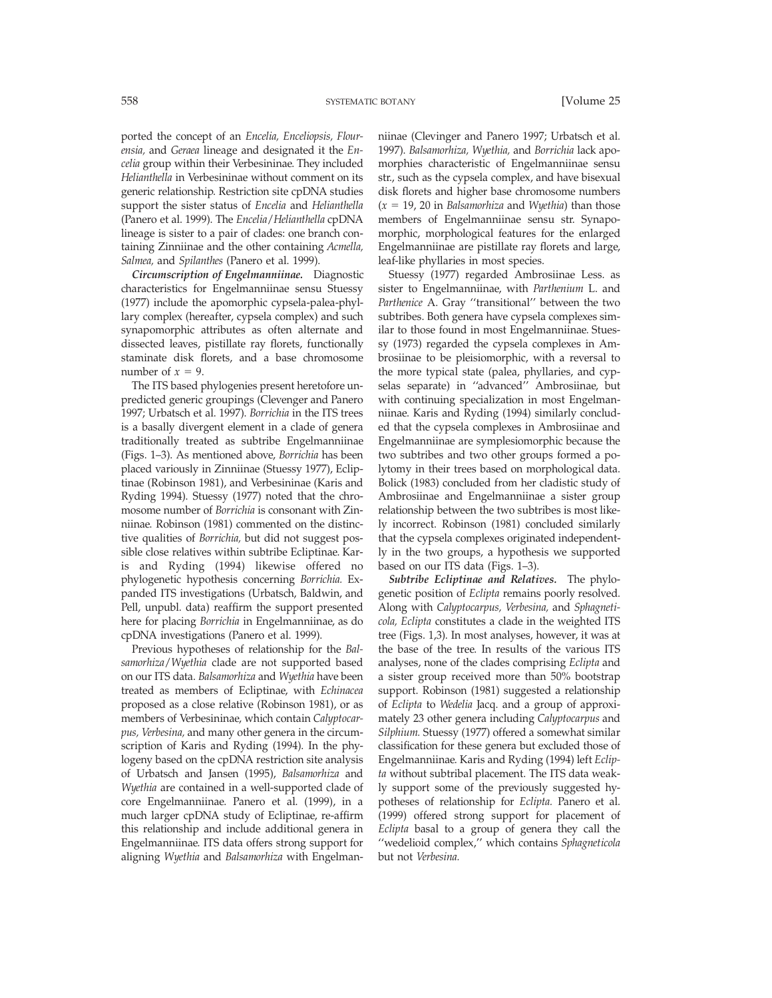ported the concept of an *Encelia, Enceliopsis, Flourensia,* and *Geraea* lineage and designated it the *Encelia* group within their Verbesininae. They included *Helianthella* in Verbesininae without comment on its generic relationship. Restriction site cpDNA studies support the sister status of *Encelia* and *Helianthella* (Panero et al. 1999). The *Encelia*/*Helianthella* cpDNA lineage is sister to a pair of clades: one branch containing Zinniinae and the other containing *Acmella, Salmea,* and *Spilanthes* (Panero et al. 1999).

*Circumscription of Engelmanniinae.* Diagnostic characteristics for Engelmanniinae sensu Stuessy (1977) include the apomorphic cypsela-palea-phyllary complex (hereafter, cypsela complex) and such synapomorphic attributes as often alternate and dissected leaves, pistillate ray florets, functionally staminate disk florets, and a base chromosome number of  $x = 9$ .

The ITS based phylogenies present heretofore unpredicted generic groupings (Clevenger and Panero 1997; Urbatsch et al. 1997). *Borrichia* in the ITS trees is a basally divergent element in a clade of genera traditionally treated as subtribe Engelmanniinae (Figs. 1–3). As mentioned above, *Borrichia* has been placed variously in Zinniinae (Stuessy 1977), Ecliptinae (Robinson 1981), and Verbesininae (Karis and Ryding 1994). Stuessy (1977) noted that the chromosome number of *Borrichia* is consonant with Zinniinae. Robinson (1981) commented on the distinctive qualities of *Borrichia,* but did not suggest possible close relatives within subtribe Ecliptinae. Karis and Ryding (1994) likewise offered no phylogenetic hypothesis concerning *Borrichia.* Expanded ITS investigations (Urbatsch, Baldwin, and Pell, unpubl. data) reaffirm the support presented here for placing *Borrichia* in Engelmanniinae, as do cpDNA investigations (Panero et al. 1999).

Previous hypotheses of relationship for the *Balsamorhiza*/*Wyethia* clade are not supported based on our ITS data. *Balsamorhiza* and *Wyethia* have been treated as members of Ecliptinae, with *Echinacea* proposed as a close relative (Robinson 1981), or as members of Verbesininae, which contain *Calyptocarpus, Verbesina,* and many other genera in the circumscription of Karis and Ryding (1994). In the phylogeny based on the cpDNA restriction site analysis of Urbatsch and Jansen (1995), *Balsamorhiza* and *Wyethia* are contained in a well-supported clade of core Engelmanniinae. Panero et al. (1999), in a much larger cpDNA study of Ecliptinae, re-affirm this relationship and include additional genera in Engelmanniinae. ITS data offers strong support for aligning *Wyethia* and *Balsamorhiza* with Engelmanniinae (Clevinger and Panero 1997; Urbatsch et al. 1997). *Balsamorhiza, Wyethia,* and *Borrichia* lack apomorphies characteristic of Engelmanniinae sensu str., such as the cypsela complex, and have bisexual disk florets and higher base chromosome numbers  $(x = 19, 20$  in *Balsamorhiza* and *Wyethia*) than those members of Engelmanniinae sensu str. Synapomorphic, morphological features for the enlarged Engelmanniinae are pistillate ray florets and large, leaf-like phyllaries in most species.

Stuessy (1977) regarded Ambrosiinae Less. as sister to Engelmanniinae, with *Parthenium* L. and *Parthenice* A. Gray ''transitional'' between the two subtribes. Both genera have cypsela complexes similar to those found in most Engelmanniinae. Stuessy (1973) regarded the cypsela complexes in Ambrosiinae to be pleisiomorphic, with a reversal to the more typical state (palea, phyllaries, and cypselas separate) in ''advanced'' Ambrosiinae, but with continuing specialization in most Engelmanniinae. Karis and Ryding (1994) similarly concluded that the cypsela complexes in Ambrosiinae and Engelmanniinae are symplesiomorphic because the two subtribes and two other groups formed a polytomy in their trees based on morphological data. Bolick (1983) concluded from her cladistic study of Ambrosiinae and Engelmanniinae a sister group relationship between the two subtribes is most likely incorrect. Robinson (1981) concluded similarly that the cypsela complexes originated independently in the two groups, a hypothesis we supported based on our ITS data (Figs. 1–3).

*Subtribe Ecliptinae and Relatives.* The phylogenetic position of *Eclipta* remains poorly resolved. Along with *Calyptocarpus, Verbesina,* and *Sphagneticola, Eclipta* constitutes a clade in the weighted ITS tree (Figs. 1,3). In most analyses, however, it was at the base of the tree. In results of the various ITS analyses, none of the clades comprising *Eclipta* and a sister group received more than 50% bootstrap support. Robinson (1981) suggested a relationship of *Eclipta* to *Wedelia* Jacq. and a group of approximately 23 other genera including *Calyptocarpus* and *Silphium.* Stuessy (1977) offered a somewhat similar classification for these genera but excluded those of Engelmanniinae. Karis and Ryding (1994) left *Eclipta* without subtribal placement. The ITS data weakly support some of the previously suggested hypotheses of relationship for *Eclipta.* Panero et al. (1999) offered strong support for placement of *Eclipta* basal to a group of genera they call the ''wedelioid complex,'' which contains *Sphagneticola* but not *Verbesina.*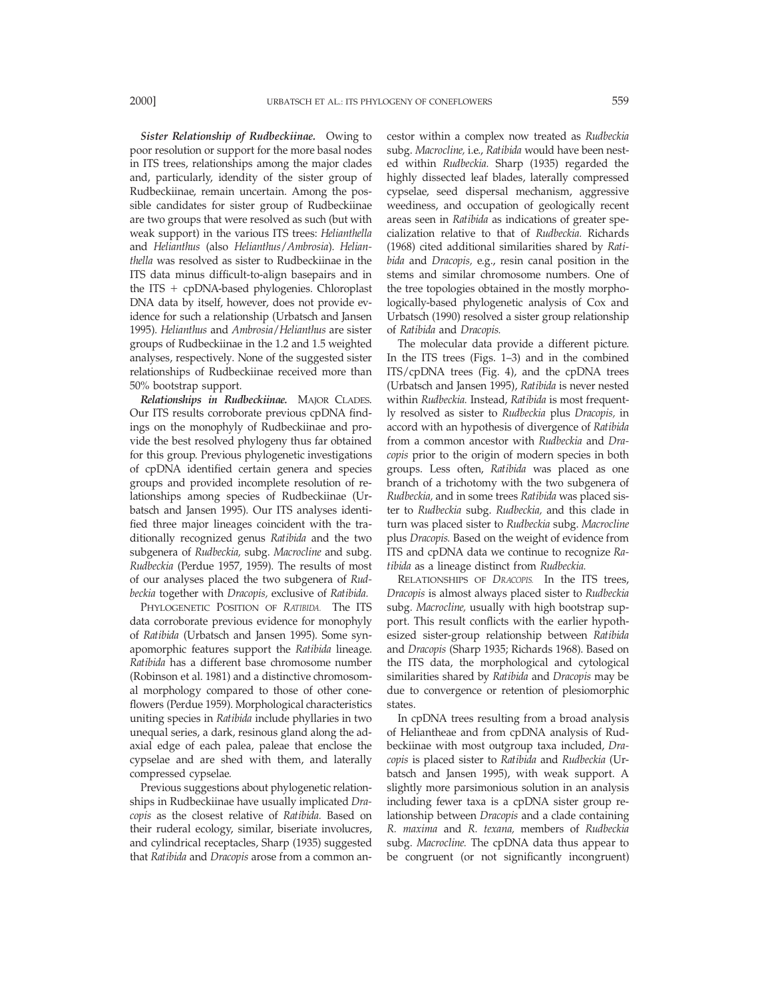*Sister Relationship of Rudbeckiinae.* Owing to poor resolution or support for the more basal nodes in ITS trees, relationships among the major clades and, particularly, idendity of the sister group of Rudbeckiinae, remain uncertain. Among the possible candidates for sister group of Rudbeckiinae are two groups that were resolved as such (but with weak support) in the various ITS trees: *Helianthella* and *Helianthus* (also *Helianthus*/*Ambrosia*). *Helianthella* was resolved as sister to Rudbeckiinae in the ITS data minus difficult-to-align basepairs and in the ITS  $+$  cpDNA-based phylogenies. Chloroplast DNA data by itself, however, does not provide evidence for such a relationship (Urbatsch and Jansen 1995). *Helianthus* and *Ambrosia*/*Helianthus* are sister groups of Rudbeckiinae in the 1.2 and 1.5 weighted analyses, respectively. None of the suggested sister relationships of Rudbeckiinae received more than 50% bootstrap support.

*Relationships in Rudbeckiinae.* MAJOR CLADES. Our ITS results corroborate previous cpDNA findings on the monophyly of Rudbeckiinae and provide the best resolved phylogeny thus far obtained for this group. Previous phylogenetic investigations of cpDNA identified certain genera and species groups and provided incomplete resolution of relationships among species of Rudbeckiinae (Urbatsch and Jansen 1995). Our ITS analyses identified three major lineages coincident with the traditionally recognized genus *Ratibida* and the two subgenera of *Rudbeckia,* subg. *Macrocline* and subg. *Rudbeckia* (Perdue 1957, 1959). The results of most of our analyses placed the two subgenera of *Rudbeckia* together with *Dracopis,* exclusive of *Ratibida.*

PHYLOGENETIC POSITION OF *RATIBIDA.* The ITS data corroborate previous evidence for monophyly of *Ratibida* (Urbatsch and Jansen 1995). Some synapomorphic features support the *Ratibida* lineage. *Ratibida* has a different base chromosome number (Robinson et al. 1981) and a distinctive chromosomal morphology compared to those of other coneflowers (Perdue 1959). Morphological characteristics uniting species in *Ratibida* include phyllaries in two unequal series, a dark, resinous gland along the adaxial edge of each palea, paleae that enclose the cypselae and are shed with them, and laterally compressed cypselae.

Previous suggestions about phylogenetic relationships in Rudbeckiinae have usually implicated *Dracopis* as the closest relative of *Ratibida.* Based on their ruderal ecology, similar, biseriate involucres, and cylindrical receptacles, Sharp (1935) suggested that *Ratibida* and *Dracopis* arose from a common ancestor within a complex now treated as *Rudbeckia* subg. *Macrocline,* i.e., *Ratibida* would have been nested within *Rudbeckia.* Sharp (1935) regarded the highly dissected leaf blades, laterally compressed cypselae, seed dispersal mechanism, aggressive weediness, and occupation of geologically recent areas seen in *Ratibida* as indications of greater specialization relative to that of *Rudbeckia.* Richards (1968) cited additional similarities shared by *Ratibida* and *Dracopis,* e.g., resin canal position in the stems and similar chromosome numbers. One of the tree topologies obtained in the mostly morphologically-based phylogenetic analysis of Cox and Urbatsch (1990) resolved a sister group relationship of *Ratibida* and *Dracopis.*

The molecular data provide a different picture. In the ITS trees (Figs. 1–3) and in the combined ITS/cpDNA trees (Fig. 4), and the cpDNA trees (Urbatsch and Jansen 1995), *Ratibida* is never nested within *Rudbeckia.* Instead, *Ratibida* is most frequently resolved as sister to *Rudbeckia* plus *Dracopis,* in accord with an hypothesis of divergence of *Ratibida* from a common ancestor with *Rudbeckia* and *Dracopis* prior to the origin of modern species in both groups. Less often, *Ratibida* was placed as one branch of a trichotomy with the two subgenera of *Rudbeckia,* and in some trees *Ratibida* was placed sister to *Rudbeckia* subg. *Rudbeckia,* and this clade in turn was placed sister to *Rudbeckia* subg. *Macrocline* plus *Dracopis.* Based on the weight of evidence from ITS and cpDNA data we continue to recognize *Ratibida* as a lineage distinct from *Rudbeckia.*

RELATIONSHIPS OF *DRACOPIS.* In the ITS trees, *Dracopis* is almost always placed sister to *Rudbeckia* subg. *Macrocline,* usually with high bootstrap support. This result conflicts with the earlier hypothesized sister-group relationship between *Ratibida* and *Dracopis* (Sharp 1935; Richards 1968). Based on the ITS data, the morphological and cytological similarities shared by *Ratibida* and *Dracopis* may be due to convergence or retention of plesiomorphic states.

In cpDNA trees resulting from a broad analysis of Heliantheae and from cpDNA analysis of Rudbeckiinae with most outgroup taxa included, *Dracopis* is placed sister to *Ratibida* and *Rudbeckia* (Urbatsch and Jansen 1995), with weak support. A slightly more parsimonious solution in an analysis including fewer taxa is a cpDNA sister group relationship between *Dracopis* and a clade containing *R. maxima* and *R. texana,* members of *Rudbeckia* subg. *Macrocline.* The cpDNA data thus appear to be congruent (or not significantly incongruent)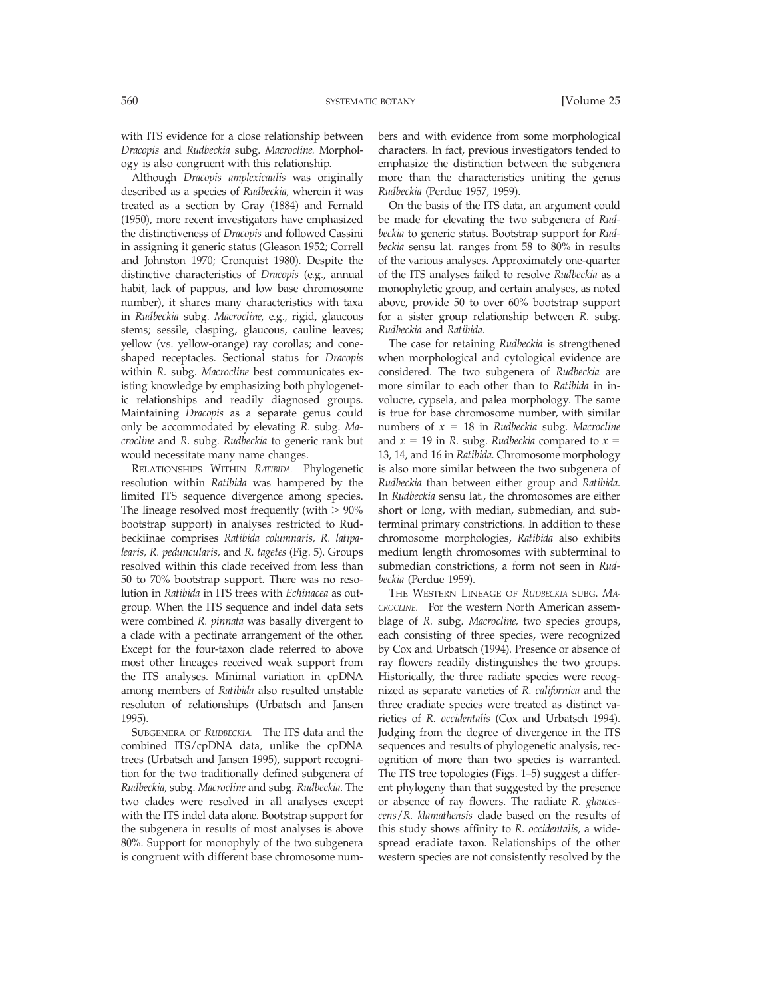with ITS evidence for a close relationship between *Dracopis* and *Rudbeckia* subg. *Macrocline.* Morphology is also congruent with this relationship.

Although *Dracopis amplexicaulis* was originally described as a species of *Rudbeckia,* wherein it was treated as a section by Gray (1884) and Fernald (1950), more recent investigators have emphasized the distinctiveness of *Dracopis* and followed Cassini in assigning it generic status (Gleason 1952; Correll and Johnston 1970; Cronquist 1980). Despite the distinctive characteristics of *Dracopis* (e.g., annual habit, lack of pappus, and low base chromosome number), it shares many characteristics with taxa in *Rudbeckia* subg. *Macrocline,* e.g., rigid, glaucous stems; sessile, clasping, glaucous, cauline leaves; yellow (vs. yellow-orange) ray corollas; and coneshaped receptacles. Sectional status for *Dracopis* within *R.* subg. *Macrocline* best communicates existing knowledge by emphasizing both phylogenetic relationships and readily diagnosed groups. Maintaining *Dracopis* as a separate genus could only be accommodated by elevating *R.* subg. *Macrocline* and *R.* subg. *Rudbeckia* to generic rank but would necessitate many name changes.

RELATIONSHIPS WITHIN *RATIBIDA.* Phylogenetic resolution within *Ratibida* was hampered by the limited ITS sequence divergence among species. The lineage resolved most frequently (with  $> 90\%$ ) bootstrap support) in analyses restricted to Rudbeckiinae comprises *Ratibida columnaris, R. latipalearis, R. peduncularis,* and *R. tagetes* (Fig. 5). Groups resolved within this clade received from less than 50 to 70% bootstrap support. There was no resolution in *Ratibida* in ITS trees with *Echinacea* as outgroup. When the ITS sequence and indel data sets were combined *R. pinnata* was basally divergent to a clade with a pectinate arrangement of the other. Except for the four-taxon clade referred to above most other lineages received weak support from the ITS analyses. Minimal variation in cpDNA among members of *Ratibida* also resulted unstable resoluton of relationships (Urbatsch and Jansen 1995).

SUBGENERA OF *RUDBECKIA.* The ITS data and the combined ITS/cpDNA data, unlike the cpDNA trees (Urbatsch and Jansen 1995), support recognition for the two traditionally defined subgenera of *Rudbeckia,* subg. *Macrocline* and subg. *Rudbeckia.* The two clades were resolved in all analyses except with the ITS indel data alone. Bootstrap support for the subgenera in results of most analyses is above 80%. Support for monophyly of the two subgenera is congruent with different base chromosome numbers and with evidence from some morphological characters. In fact, previous investigators tended to emphasize the distinction between the subgenera more than the characteristics uniting the genus *Rudbeckia* (Perdue 1957, 1959).

On the basis of the ITS data, an argument could be made for elevating the two subgenera of *Rudbeckia* to generic status. Bootstrap support for *Rudbeckia* sensu lat. ranges from 58 to 80% in results of the various analyses. Approximately one-quarter of the ITS analyses failed to resolve *Rudbeckia* as a monophyletic group, and certain analyses, as noted above, provide 50 to over 60% bootstrap support for a sister group relationship between *R.* subg. *Rudbeckia* and *Ratibida.*

The case for retaining *Rudbeckia* is strengthened when morphological and cytological evidence are considered. The two subgenera of *Rudbeckia* are more similar to each other than to *Ratibida* in involucre, cypsela, and palea morphology. The same is true for base chromosome number, with similar numbers of  $x = 18$  in *Rudbeckia* subg. *Macrocline* and  $x = 19$  in *R.* subg. *Rudbeckia* compared to  $x =$ 13, 14, and 16 in *Ratibida.* Chromosome morphology is also more similar between the two subgenera of *Rudbeckia* than between either group and *Ratibida.* In *Rudbeckia* sensu lat., the chromosomes are either short or long, with median, submedian, and subterminal primary constrictions. In addition to these chromosome morphologies, *Ratibida* also exhibits medium length chromosomes with subterminal to submedian constrictions, a form not seen in *Rudbeckia* (Perdue 1959).

THE WESTERN LINEAGE OF *RUDBECKIA* SUBG. *MA-CROCLINE.* For the western North American assemblage of *R.* subg. *Macrocline,* two species groups, each consisting of three species, were recognized by Cox and Urbatsch (1994). Presence or absence of ray flowers readily distinguishes the two groups. Historically, the three radiate species were recognized as separate varieties of *R. californica* and the three eradiate species were treated as distinct varieties of *R. occidentalis* (Cox and Urbatsch 1994). Judging from the degree of divergence in the ITS sequences and results of phylogenetic analysis, recognition of more than two species is warranted. The ITS tree topologies (Figs. 1–5) suggest a different phylogeny than that suggested by the presence or absence of ray flowers. The radiate *R. glaucescens*/*R. klamathensis* clade based on the results of this study shows affinity to *R. occidentalis,* a widespread eradiate taxon. Relationships of the other western species are not consistently resolved by the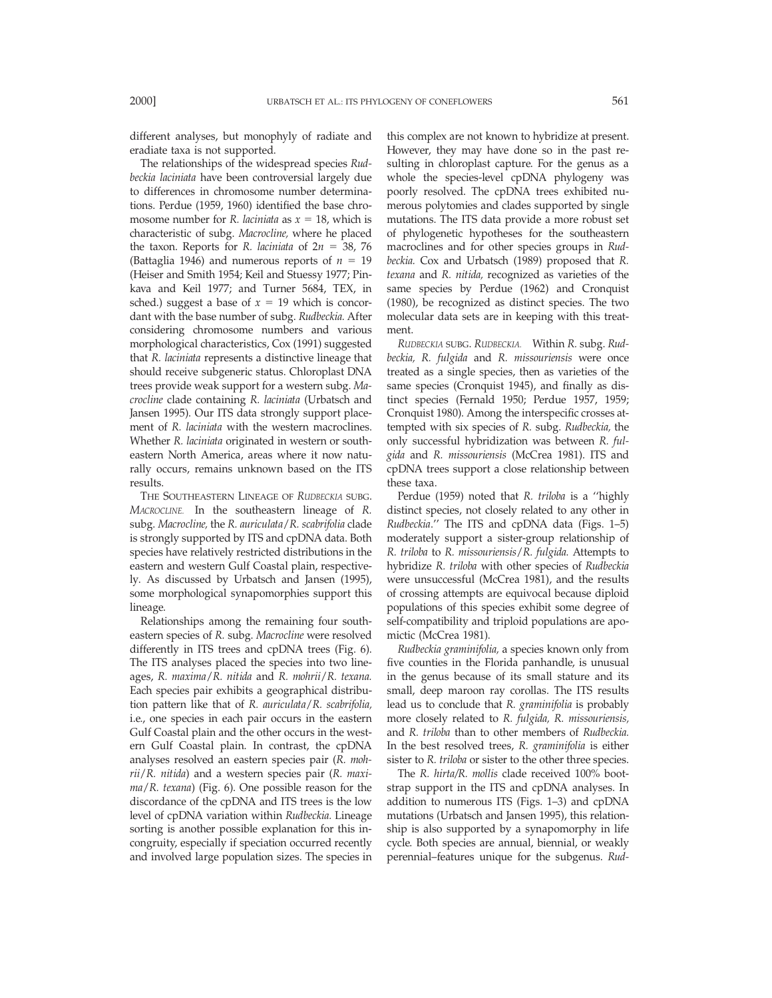different analyses, but monophyly of radiate and eradiate taxa is not supported.

The relationships of the widespread species *Rudbeckia laciniata* have been controversial largely due to differences in chromosome number determinations. Perdue (1959, 1960) identified the base chromosome number for *R. laciniata* as  $x = 18$ , which is characteristic of subg. *Macrocline,* where he placed the taxon. Reports for *R. laciniata* of  $2n = 38$ , 76 (Battaglia 1946) and numerous reports of  $n = 19$ (Heiser and Smith 1954; Keil and Stuessy 1977; Pinkava and Keil 1977; and Turner 5684, TEX, in sched.) suggest a base of  $x = 19$  which is concordant with the base number of subg. *Rudbeckia.* After considering chromosome numbers and various morphological characteristics, Cox (1991) suggested that *R. laciniata* represents a distinctive lineage that should receive subgeneric status. Chloroplast DNA trees provide weak support for a western subg. *Macrocline* clade containing *R. laciniata* (Urbatsch and Jansen 1995). Our ITS data strongly support placement of *R. laciniata* with the western macroclines. Whether *R. laciniata* originated in western or southeastern North America, areas where it now naturally occurs, remains unknown based on the ITS results.

THE SOUTHEASTERN LINEAGE OF *RUDBECKIA* SUBG. *MACROCLINE.* In the southeastern lineage of *R.* subg. *Macrocline,* the *R. auriculata*/*R. scabrifolia* clade is strongly supported by ITS and cpDNA data. Both species have relatively restricted distributions in the eastern and western Gulf Coastal plain, respectively. As discussed by Urbatsch and Jansen (1995), some morphological synapomorphies support this lineage.

Relationships among the remaining four southeastern species of *R.* subg. *Macrocline* were resolved differently in ITS trees and cpDNA trees (Fig. 6). The ITS analyses placed the species into two lineages, *R. maxima*/*R. nitida* and *R. mohrii*/*R. texana.* Each species pair exhibits a geographical distribution pattern like that of *R. auriculata*/*R. scabrifolia,* i.e., one species in each pair occurs in the eastern Gulf Coastal plain and the other occurs in the western Gulf Coastal plain. In contrast, the cpDNA analyses resolved an eastern species pair (*R. mohrii*/*R. nitida*) and a western species pair (*R. maxima*/*R. texana*) (Fig. 6). One possible reason for the discordance of the cpDNA and ITS trees is the low level of cpDNA variation within *Rudbeckia.* Lineage sorting is another possible explanation for this incongruity, especially if speciation occurred recently and involved large population sizes. The species in

this complex are not known to hybridize at present. However, they may have done so in the past resulting in chloroplast capture. For the genus as a whole the species-level cpDNA phylogeny was poorly resolved. The cpDNA trees exhibited numerous polytomies and clades supported by single mutations. The ITS data provide a more robust set of phylogenetic hypotheses for the southeastern macroclines and for other species groups in *Rudbeckia.* Cox and Urbatsch (1989) proposed that *R. texana* and *R. nitida,* recognized as varieties of the same species by Perdue (1962) and Cronquist (1980), be recognized as distinct species. The two molecular data sets are in keeping with this treatment.

*RUDBECKIA* SUBG. *RUDBECKIA.* Within *R.* subg. *Rudbeckia, R. fulgida* and *R. missouriensis* were once treated as a single species, then as varieties of the same species (Cronquist 1945), and finally as distinct species (Fernald 1950; Perdue 1957, 1959; Cronquist 1980). Among the interspecific crosses attempted with six species of *R.* subg. *Rudbeckia,* the only successful hybridization was between *R. fulgida* and *R. missouriensis* (McCrea 1981). ITS and cpDNA trees support a close relationship between these taxa.

Perdue (1959) noted that *R. triloba* is a ''highly distinct species, not closely related to any other in *Rudbeckia*.'' The ITS and cpDNA data (Figs. 1–5) moderately support a sister-group relationship of *R. triloba* to *R. missouriensis*/*R. fulgida.* Attempts to hybridize *R. triloba* with other species of *Rudbeckia* were unsuccessful (McCrea 1981), and the results of crossing attempts are equivocal because diploid populations of this species exhibit some degree of self-compatibility and triploid populations are apomictic (McCrea 1981).

*Rudbeckia graminifolia,* a species known only from five counties in the Florida panhandle, is unusual in the genus because of its small stature and its small, deep maroon ray corollas. The ITS results lead us to conclude that *R. graminifolia* is probably more closely related to *R. fulgida, R. missouriensis,* and *R. triloba* than to other members of *Rudbeckia.* In the best resolved trees, *R. graminifolia* is either sister to *R. triloba* or sister to the other three species.

The *R. hirta/R. mollis* clade received 100% bootstrap support in the ITS and cpDNA analyses. In addition to numerous ITS (Figs. 1–3) and cpDNA mutations (Urbatsch and Jansen 1995), this relationship is also supported by a synapomorphy in life cycle. Both species are annual, biennial, or weakly perennial–features unique for the subgenus. *Rud-*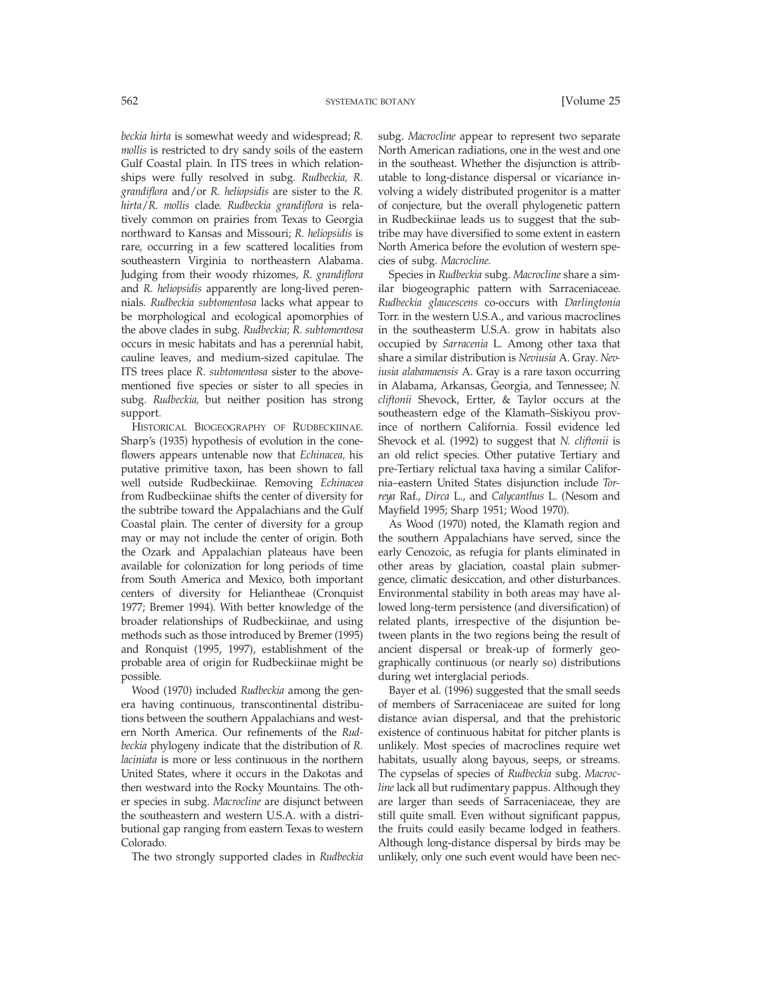*beckia hirta* is somewhat weedy and widespread; *R. mollis* is restricted to dry sandy soils of the eastern Gulf Coastal plain. In ITS trees in which relationships were fully resolved in subg. *Rudbeckia, R. grandiflora* and/or *R. heliopsidis* are sister to the *R. hirta*/*R. mollis* clade. *Rudbeckia grandiflora* is relatively common on prairies from Texas to Georgia northward to Kansas and Missouri; *R. heliopsidis* is rare, occurring in a few scattered localities from southeastern Virginia to northeastern Alabama. Judging from their woody rhizomes, *R. grandiflora* and *R. heliopsidis* apparently are long-lived perennials. *Rudbeckia subtomentosa* lacks what appear to be morphological and ecological apomorphies of the above clades in subg. *Rudbeckia*; *R. subtomentosa* occurs in mesic habitats and has a perennial habit, cauline leaves, and medium-sized capitulae. The ITS trees place *R. subtomentosa* sister to the abovementioned five species or sister to all species in subg. *Rudbeckia,* but neither position has strong support.

HISTORICAL BIOGEOGRAPHY OF RUDBECKIINAE. Sharp's (1935) hypothesis of evolution in the coneflowers appears untenable now that *Echinacea,* his putative primitive taxon, has been shown to fall well outside Rudbeckiinae. Removing *Echinacea* from Rudbeckiinae shifts the center of diversity for the subtribe toward the Appalachians and the Gulf Coastal plain. The center of diversity for a group may or may not include the center of origin. Both the Ozark and Appalachian plateaus have been available for colonization for long periods of time from South America and Mexico, both important centers of diversity for Heliantheae (Cronquist 1977; Bremer 1994). With better knowledge of the broader relationships of Rudbeckiinae, and using methods such as those introduced by Bremer (1995) and Ronquist (1995, 1997), establishment of the probable area of origin for Rudbeckiinae might be possible.

Wood (1970) included *Rudbeckia* among the genera having continuous, transcontinental distributions between the southern Appalachians and western North America. Our refinements of the *Rudbeckia* phylogeny indicate that the distribution of *R. laciniata* is more or less continuous in the northern United States, where it occurs in the Dakotas and then westward into the Rocky Mountains. The other species in subg. *Macrocline* are disjunct between the southeastern and western U.S.A. with a distributional gap ranging from eastern Texas to western Colorado.

The two strongly supported clades in *Rudbeckia*

subg. *Macrocline* appear to represent two separate North American radiations, one in the west and one in the southeast. Whether the disjunction is attributable to long-distance dispersal or vicariance involving a widely distributed progenitor is a matter of conjecture, but the overall phylogenetic pattern in Rudbeckiinae leads us to suggest that the subtribe may have diversified to some extent in eastern North America before the evolution of western species of subg. *Macrocline.*

Species in *Rudbeckia* subg. *Macrocline* share a similar biogeographic pattern with Sarraceniaceae. *Rudbeckia glaucescens* co-occurs with *Darlingtonia* Torr. in the western U.S.A., and various macroclines in the southeasterm U.S.A. grow in habitats also occupied by *Sarracenia* L. Among other taxa that share a similar distribution is *Neviusia* A. Gray. *Neviusia alabamaensis* A. Gray is a rare taxon occurring in Alabama, Arkansas, Georgia, and Tennessee; *N. cliftonii* Shevock, Ertter, & Taylor occurs at the southeastern edge of the Klamath–Siskiyou province of northern California. Fossil evidence led Shevock et al. (1992) to suggest that *N. cliftonii* is an old relict species. Other putative Tertiary and pre-Tertiary relictual taxa having a similar California–eastern United States disjunction include *Torreya* Raf., *Dirca* L., and *Calycanthus* L. (Nesom and Mayfield 1995; Sharp 1951; Wood 1970).

As Wood (1970) noted, the Klamath region and the southern Appalachians have served, since the early Cenozoic, as refugia for plants eliminated in other areas by glaciation, coastal plain submergence, climatic desiccation, and other disturbances. Environmental stability in both areas may have allowed long-term persistence (and diversification) of related plants, irrespective of the disjuntion between plants in the two regions being the result of ancient dispersal or break-up of formerly geographically continuous (or nearly so) distributions during wet interglacial periods.

Bayer et al. (1996) suggested that the small seeds of members of Sarraceniaceae are suited for long distance avian dispersal, and that the prehistoric existence of continuous habitat for pitcher plants is unlikely. Most species of macroclines require wet habitats, usually along bayous, seeps, or streams. The cypselas of species of *Rudbeckia* subg. *Macrocline* lack all but rudimentary pappus. Although they are larger than seeds of Sarraceniaceae, they are still quite small. Even without significant pappus, the fruits could easily became lodged in feathers. Although long-distance dispersal by birds may be unlikely, only one such event would have been nec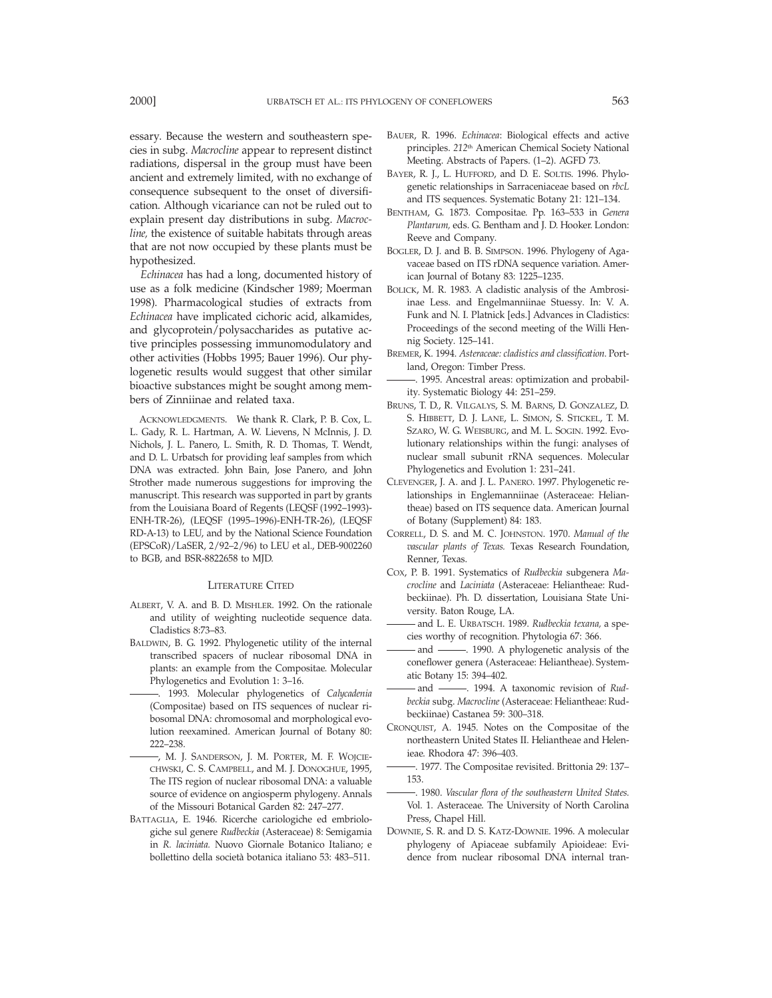essary. Because the western and southeastern species in subg. *Macrocline* appear to represent distinct radiations, dispersal in the group must have been ancient and extremely limited, with no exchange of consequence subsequent to the onset of diversification. Although vicariance can not be ruled out to explain present day distributions in subg. *Macrocline,* the existence of suitable habitats through areas that are not now occupied by these plants must be hypothesized.

*Echinacea* has had a long, documented history of use as a folk medicine (Kindscher 1989; Moerman 1998). Pharmacological studies of extracts from *Echinacea* have implicated cichoric acid, alkamides, and glycoprotein/polysaccharides as putative active principles possessing immunomodulatory and other activities (Hobbs 1995; Bauer 1996). Our phylogenetic results would suggest that other similar bioactive substances might be sought among members of Zinniinae and related taxa.

ACKNOWLEDGMENTS. We thank R. Clark, P. B. Cox, L. L. Gady, R. L. Hartman, A. W. Lievens, N McInnis, J. D. Nichols, J. L. Panero, L. Smith, R. D. Thomas, T. Wendt, and D. L. Urbatsch for providing leaf samples from which DNA was extracted. John Bain, Jose Panero, and John Strother made numerous suggestions for improving the manuscript. This research was supported in part by grants from the Louisiana Board of Regents (LEQSF (1992–1993)- ENH-TR-26), (LEQSF (1995–1996)-ENH-TR-26), (LEQSF RD-A-13) to LEU, and by the National Science Foundation (EPSCoR)/LaSER, 2/92–2/96) to LEU et al., DEB-9002260 to BGB, and BSR-8822658 to MJD.

### LITERATURE CITED

- ALBERT, V. A. and B. D. MISHLER. 1992. On the rationale and utility of weighting nucleotide sequence data. Cladistics 8:73–83.
- BALDWIN, B. G. 1992. Phylogenetic utility of the internal transcribed spacers of nuclear ribosomal DNA in plants: an example from the Compositae. Molecular Phylogenetics and Evolution 1: 3–16.
- . 1993. Molecular phylogenetics of *Calycadenia* (Compositae) based on ITS sequences of nuclear ribosomal DNA: chromosomal and morphological evolution reexamined. American Journal of Botany 80: 222–238.
- , M. J. SANDERSON, J. M. PORTER, M. F. WOJCIE-CHWSKI, C. S. CAMPBELL, and M. J. DONOGHUE, 1995, The ITS region of nuclear ribosomal DNA: a valuable source of evidence on angiosperm phylogeny. Annals of the Missouri Botanical Garden 82: 247–277.
- BATTAGLIA, E. 1946. Ricerche cariologiche ed embriologiche sul genere *Rudbeckia* (Asteraceae) 8: Semigamia in *R. laciniata.* Nuovo Giornale Botanico Italiano; e bollettino della societa` botanica italiano 53: 483–511.
- BAUER, R. 1996. *Echinacea*: Biological effects and active principles. *212*th American Chemical Society National Meeting. Abstracts of Papers. (1–2). AGFD 73.
- BAYER, R. J., L. HUFFORD, and D. E. SOLTIS. 1996. Phylogenetic relationships in Sarraceniaceae based on *rbcL* and ITS sequences. Systematic Botany 21: 121–134.
- BENTHAM, G. 1873. Compositae. Pp. 163–533 in *Genera Plantarum,* eds. G. Bentham and J. D. Hooker. London: Reeve and Company.
- BOGLER, D. J. and B. B. SIMPSON. 1996. Phylogeny of Agavaceae based on ITS rDNA sequence variation. American Journal of Botany 83: 1225–1235.
- BOLICK, M. R. 1983. A cladistic analysis of the Ambrosiinae Less. and Engelmanniinae Stuessy. In: V. A. Funk and N. I. Platnick [eds.] Advances in Cladistics: Proceedings of the second meeting of the Willi Hennig Society. 125–141.
- BREMER, K. 1994. *Asteraceae: cladistics and classification.* Portland, Oregon: Timber Press.
- . 1995. Ancestral areas: optimization and probability. Systematic Biology 44: 251–259.
- BRUNS, T. D., R. VILGALYS, S. M. BARNS, D. GONZALEZ, D. S. HIBBETT, D. J. LANE, L. SIMON, S. STICKEL, T. M. SZARO, W. G. WEISBURG, and M. L. SOGIN. 1992. Evolutionary relationships within the fungi: analyses of nuclear small subunit rRNA sequences. Molecular Phylogenetics and Evolution 1: 231–241.
- CLEVENGER, J. A. and J. L. PANERO. 1997. Phylogenetic relationships in Englemanniinae (Asteraceae: Heliantheae) based on ITS sequence data. American Journal of Botany (Supplement) 84: 183.
- CORRELL, D. S. and M. C. JOHNSTON. 1970. *Manual of the vascular plants of Texas.* Texas Research Foundation, Renner, Texas.
- COX, P. B. 1991. Systematics of *Rudbeckia* subgenera *Macrocline* and *Laciniata* (Asteraceae: Heliantheae: Rudbeckiinae). Ph. D. dissertation, Louisiana State University. Baton Rouge, LA.
- and L. E. URBATSCH. 1989. *Rudbeckia texana,* a species worthy of recognition. Phytologia 67: 366.
- and . 1990. A phylogenetic analysis of the coneflower genera (Asteraceae: Heliantheae). Systematic Botany 15: 394–402.
- and 1994. A taxonomic revision of *Rudbeckia* subg. *Macrocline* (Asteraceae: Heliantheae: Rudbeckiinae) Castanea 59: 300–318.
- CRONQUIST, A. 1945. Notes on the Compositae of the northeastern United States II. Heliantheae and Helenieae. Rhodora 47: 396–403.
- . 1977. The Compositae revisited. Brittonia 29: 137– 153.
- . 1980. *Vascular flora of the southeastern United States.* Vol. 1. Asteraceae. The University of North Carolina Press, Chapel Hill.
- DOWNIE, S. R. and D. S. KATZ-DOWNIE. 1996. A molecular phylogeny of Apiaceae subfamily Apioideae: Evidence from nuclear ribosomal DNA internal tran-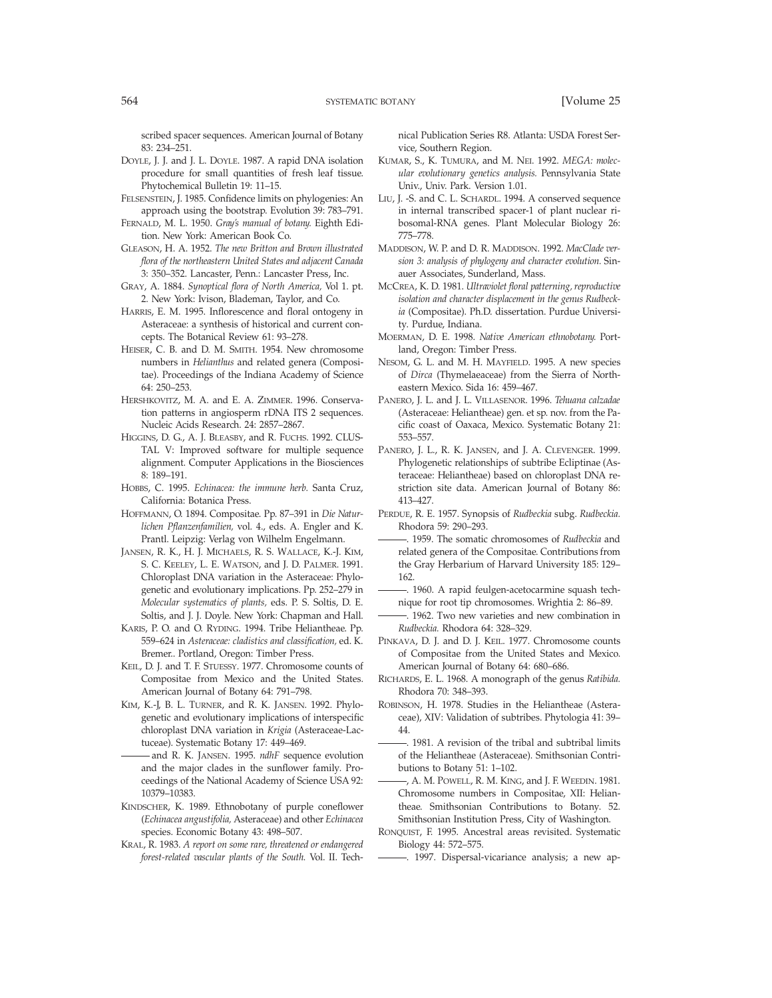scribed spacer sequences. American Journal of Botany 83: 234–251.

- DOYLE, J. J. and J. L. DOYLE. 1987. A rapid DNA isolation procedure for small quantities of fresh leaf tissue. Phytochemical Bulletin 19: 11–15.
- FELSENSTEIN, J. 1985. Confidence limits on phylogenies: An approach using the bootstrap. Evolution 39: 783–791.
- FERNALD, M. L. 1950. *Gray's manual of botany.* Eighth Edition. New York: American Book Co.
- GLEASON, H. A. 1952. *The new Britton and Brown illustrated flora of the northeastern United States and adjacent Canada* 3: 350–352. Lancaster, Penn.: Lancaster Press, Inc.
- GRAY, A. 1884. *Synoptical flora of North America,* Vol 1. pt. 2. New York: Ivison, Blademan, Taylor, and Co.
- HARRIS, E. M. 1995. Inflorescence and floral ontogeny in Asteraceae: a synthesis of historical and current concepts. The Botanical Review 61: 93–278.
- HEISER, C. B. and D. M. SMITH. 1954. New chromosome numbers in *Helianthus* and related genera (Compositae). Proceedings of the Indiana Academy of Science 64: 250–253.
- HERSHKOVITZ, M. A. and E. A. ZIMMER. 1996. Conservation patterns in angiosperm rDNA ITS 2 sequences. Nucleic Acids Research. 24: 2857–2867.
- HIGGINS, D. G., A. J. BLEASBY, and R. FUCHS. 1992. CLUS-TAL V: Improved software for multiple sequence alignment. Computer Applications in the Biosciences 8: 189–191.
- HOBBS, C. 1995. *Echinacea: the immune herb.* Santa Cruz, California: Botanica Press.
- HOFFMANN, O. 1894. Compositae. Pp. 87–391 in *Die Naturlichen Pflanzenfamilien,* vol. 4., eds. A. Engler and K. Prantl. Leipzig: Verlag von Wilhelm Engelmann.
- JANSEN, R. K., H. J. MICHAELS, R. S. WALLACE, K.-J. KIM, S. C. KEELEY, L. E. WATSON, and J. D. PALMER. 1991. Chloroplast DNA variation in the Asteraceae: Phylogenetic and evolutionary implications. Pp. 252–279 in *Molecular systematics of plants,* eds. P. S. Soltis, D. E. Soltis, and J. J. Doyle. New York: Chapman and Hall.
- KARIS, P. O. and O. RYDING. 1994. Tribe Heliantheae. Pp. 559–624 in *Asteraceae: cladistics and classification,* ed. K. Bremer.. Portland, Oregon: Timber Press.
- KEIL, D. J. and T. F. STUESSY. 1977. Chromosome counts of Compositae from Mexico and the United States. American Journal of Botany 64: 791–798.
- KIM, K.-J, B. L. TURNER, and R. K. JANSEN. 1992. Phylogenetic and evolutionary implications of interspecific chloroplast DNA variation in *Krigia* (Asteraceae-Lactuceae). Systematic Botany 17: 449–469.
- and R. K. JANSEN. 1995. *ndhF* sequence evolution and the major clades in the sunflower family. Proceedings of the National Academy of Science USA 92: 10379–10383.
- KINDSCHER, K. 1989. Ethnobotany of purple coneflower (*Echinacea angustifolia,* Asteraceae) and other *Echinacea* species. Economic Botany 43: 498–507.
- KRAL, R. 1983. *A report on some rare, threatened or endangered forest-related vascular plants of the South.* Vol. II. Tech-

nical Publication Series R8. Atlanta: USDA Forest Service, Southern Region.

- KUMAR, S., K. TUMURA, and M. NEI. 1992. *MEGA: molecular evolutionary genetics analysis.* Pennsylvania State Univ., Univ. Park. Version 1.01.
- LIU, J. -S. and C. L. SCHARDL. 1994. A conserved sequence in internal transcribed spacer-1 of plant nuclear ribosomal-RNA genes. Plant Molecular Biology 26: 775–778.
- MADDISON, W. P. and D. R. MADDISON. 1992. *MacClade version 3: analysis of phylogeny and character evolution.* Sinauer Associates, Sunderland, Mass.
- MCCREA, K. D. 1981. *Ultraviolet floral patterning,reproductive isolation and character displacement in the genus Rudbeckia* (Compositae). Ph.D. dissertation. Purdue University. Purdue, Indiana.
- MOERMAN, D. E. 1998. *Native American ethnobotany.* Portland, Oregon: Timber Press.
- NESOM, G. L. and M. H. MAYFIELD. 1995. A new species of *Dirca* (Thymelaeaceae) from the Sierra of Northeastern Mexico. Sida 16: 459–467.
- PANERO, J. L. and J. L. VILLASENOR. 1996. *Tehuana calzadae* (Asteraceae: Heliantheae) gen. et sp. nov. from the Pacific coast of Oaxaca, Mexico. Systematic Botany 21: 553–557.
- PANERO, J. L., R. K. JANSEN, and J. A. CLEVENGER. 1999. Phylogenetic relationships of subtribe Ecliptinae (Asteraceae: Heliantheae) based on chloroplast DNA restriction site data. American Journal of Botany 86: 413–427.
- PERDUE, R. E. 1957. Synopsis of *Rudbeckia* subg. *Rudbeckia.* Rhodora 59: 290–293.
- . 1959. The somatic chromosomes of *Rudbeckia* and related genera of the Compositae. Contributions from the Gray Herbarium of Harvard University 185: 129– 162.
- . 1960. A rapid feulgen-acetocarmine squash technique for root tip chromosomes. Wrightia 2: 86–89.
- . 1962. Two new varieties and new combination in *Rudbeckia.* Rhodora 64: 328–329.
- PINKAVA, D. J. and D. J. KEIL. 1977. Chromosome counts of Compositae from the United States and Mexico. American Journal of Botany 64: 680–686.
- RICHARDS, E. L. 1968. A monograph of the genus *Ratibida.* Rhodora 70: 348–393.
- ROBINSON, H. 1978. Studies in the Heliantheae (Asteraceae), XIV: Validation of subtribes. Phytologia 41: 39– 44.
	- . 1981. A revision of the tribal and subtribal limits of the Heliantheae (Asteraceae). Smithsonian Contributions to Botany 51: 1–102.
	- , A. M. POWELL, R. M. KING, and J. F. WEEDIN. 1981. Chromosome numbers in Compositae, XII: Heliantheae. Smithsonian Contributions to Botany. 52. Smithsonian Institution Press, City of Washington.
- RONQUIST, F. 1995. Ancestral areas revisited. Systematic Biology 44: 572–575.
	- . 1997. Dispersal-vicariance analysis; a new ap-